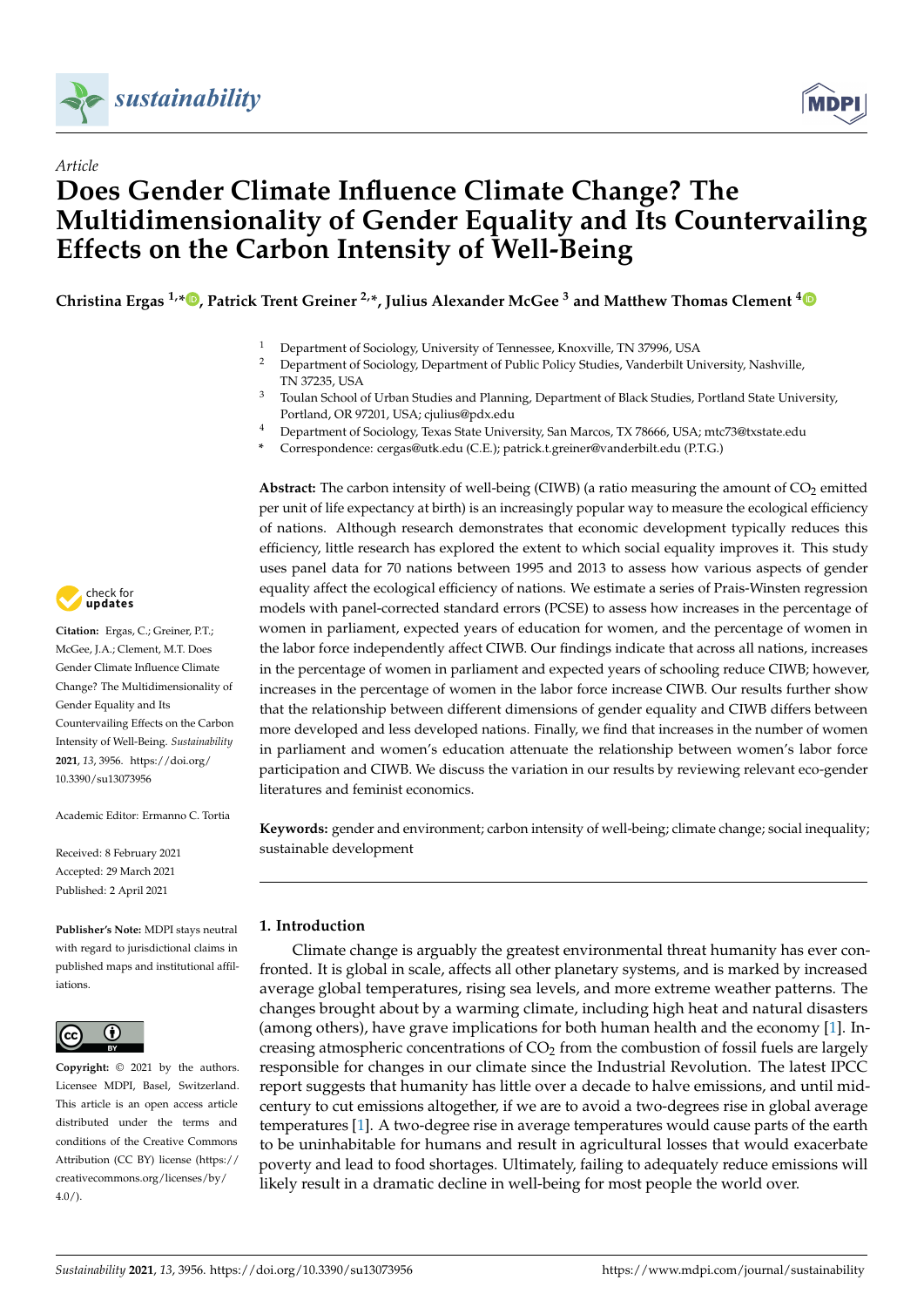

*Article*



# **Does Gender Climate Influence Climate Change? The Multidimensionality of Gender Equality and Its Countervailing Effects on the Carbon Intensity of Well-Being**

**Christina Ergas 1,\* [,](https://orcid.org/0000-0001-5332-4381) Patrick Trent Greiner 2,\*, Julius Alexander McGee <sup>3</sup> and Matthew Thomas Clement [4](https://orcid.org/0000-0001-7060-3067)**

- <sup>1</sup> Department of Sociology, University of Tennessee, Knoxville, TN 37996, USA
- <sup>2</sup> Department of Sociology, Department of Public Policy Studies, Vanderbilt University, Nashville, TN 37235, USA
- <sup>3</sup> Toulan School of Urban Studies and Planning, Department of Black Studies, Portland State University, Portland, OR 97201, USA; cjulius@pdx.edu
- <sup>4</sup> Department of Sociology, Texas State University, San Marcos, TX 78666, USA; mtc73@txstate.edu
- **\*** Correspondence: cergas@utk.edu (C.E.); patrick.t.greiner@vanderbilt.edu (P.T.G.)

Abstract: The carbon intensity of well-being (CIWB) (a ratio measuring the amount of CO<sub>2</sub> emitted per unit of life expectancy at birth) is an increasingly popular way to measure the ecological efficiency of nations. Although research demonstrates that economic development typically reduces this efficiency, little research has explored the extent to which social equality improves it. This study uses panel data for 70 nations between 1995 and 2013 to assess how various aspects of gender equality affect the ecological efficiency of nations. We estimate a series of Prais-Winsten regression models with panel-corrected standard errors (PCSE) to assess how increases in the percentage of women in parliament, expected years of education for women, and the percentage of women in the labor force independently affect CIWB. Our findings indicate that across all nations, increases in the percentage of women in parliament and expected years of schooling reduce CIWB; however, increases in the percentage of women in the labor force increase CIWB. Our results further show that the relationship between different dimensions of gender equality and CIWB differs between more developed and less developed nations. Finally, we find that increases in the number of women in parliament and women's education attenuate the relationship between women's labor force participation and CIWB. We discuss the variation in our results by reviewing relevant eco-gender literatures and feminist economics.

**Keywords:** gender and environment; carbon intensity of well-being; climate change; social inequality; sustainable development

## **1. Introduction**

Climate change is arguably the greatest environmental threat humanity has ever confronted. It is global in scale, affects all other planetary systems, and is marked by increased average global temperatures, rising sea levels, and more extreme weather patterns. The changes brought about by a warming climate, including high heat and natural disasters (among others), have grave implications for both human health and the economy [\[1\]](#page-20-0). Increasing atmospheric concentrations of  $CO<sub>2</sub>$  from the combustion of fossil fuels are largely responsible for changes in our climate since the Industrial Revolution. The latest IPCC report suggests that humanity has little over a decade to halve emissions, and until midcentury to cut emissions altogether, if we are to avoid a two-degrees rise in global average temperatures [\[1\]](#page-20-0). A two-degree rise in average temperatures would cause parts of the earth to be uninhabitable for humans and result in agricultural losses that would exacerbate poverty and lead to food shortages. Ultimately, failing to adequately reduce emissions will likely result in a dramatic decline in well-being for most people the world over.



**Citation:** Ergas, C.; Greiner, P.T.; McGee, J.A.; Clement, M.T. Does Gender Climate Influence Climate Change? The Multidimensionality of Gender Equality and Its Countervailing Effects on the Carbon Intensity of Well-Being. *Sustainability* **2021**, *13*, 3956. [https://doi.org/](https://doi.org/10.3390/su13073956) [10.3390/su13073956](https://doi.org/10.3390/su13073956)

Academic Editor: Ermanno C. Tortia

Received: 8 February 2021 Accepted: 29 March 2021 Published: 2 April 2021

**Publisher's Note:** MDPI stays neutral with regard to jurisdictional claims in published maps and institutional affiliations.



**Copyright:** © 2021 by the authors. Licensee MDPI, Basel, Switzerland. This article is an open access article distributed under the terms and conditions of the Creative Commons Attribution (CC BY) license (https:/[/](https://creativecommons.org/licenses/by/4.0/) [creativecommons.org/licenses/by/](https://creativecommons.org/licenses/by/4.0/)  $4.0/$ ).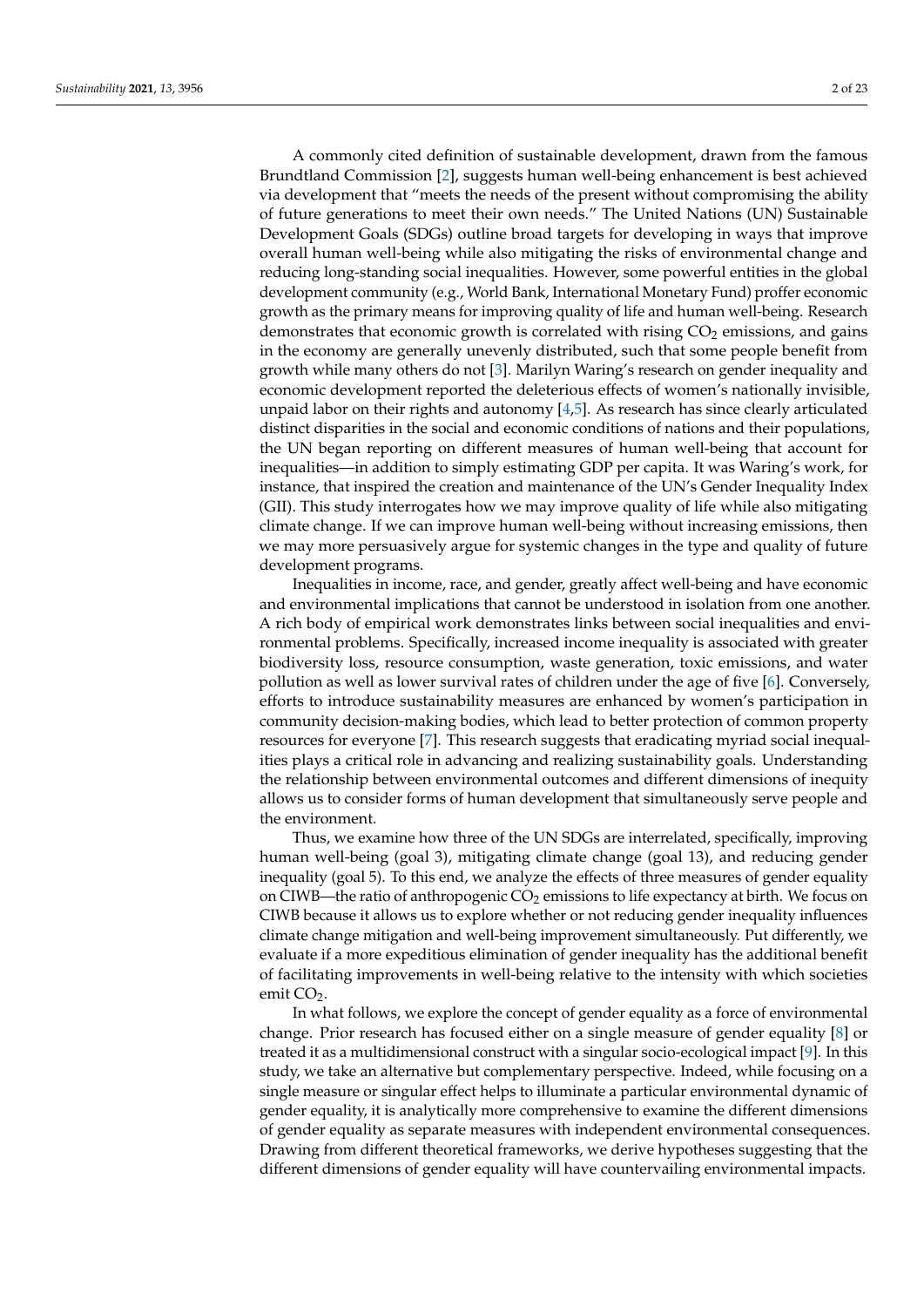A commonly cited definition of sustainable development, drawn from the famous Brundtland Commission [\[2\]](#page-20-1), suggests human well-being enhancement is best achieved via development that "meets the needs of the present without compromising the ability of future generations to meet their own needs." The United Nations (UN) Sustainable Development Goals (SDGs) outline broad targets for developing in ways that improve overall human well-being while also mitigating the risks of environmental change and reducing long-standing social inequalities. However, some powerful entities in the global development community (e.g., World Bank, International Monetary Fund) proffer economic growth as the primary means for improving quality of life and human well-being. Research demonstrates that economic growth is correlated with rising  $CO<sub>2</sub>$  emissions, and gains in the economy are generally unevenly distributed, such that some people benefit from growth while many others do not [\[3\]](#page-20-2). Marilyn Waring's research on gender inequality and economic development reported the deleterious effects of women's nationally invisible, unpaid labor on their rights and autonomy  $[4,5]$  $[4,5]$ . As research has since clearly articulated distinct disparities in the social and economic conditions of nations and their populations, the UN began reporting on different measures of human well-being that account for inequalities—in addition to simply estimating GDP per capita. It was Waring's work, for instance, that inspired the creation and maintenance of the UN's Gender Inequality Index (GII). This study interrogates how we may improve quality of life while also mitigating climate change. If we can improve human well-being without increasing emissions, then we may more persuasively argue for systemic changes in the type and quality of future development programs.

Inequalities in income, race, and gender, greatly affect well-being and have economic and environmental implications that cannot be understood in isolation from one another. A rich body of empirical work demonstrates links between social inequalities and environmental problems. Specifically, increased income inequality is associated with greater biodiversity loss, resource consumption, waste generation, toxic emissions, and water pollution as well as lower survival rates of children under the age of five [\[6\]](#page-20-5). Conversely, efforts to introduce sustainability measures are enhanced by women's participation in community decision-making bodies, which lead to better protection of common property resources for everyone [\[7\]](#page-20-6). This research suggests that eradicating myriad social inequalities plays a critical role in advancing and realizing sustainability goals. Understanding the relationship between environmental outcomes and different dimensions of inequity allows us to consider forms of human development that simultaneously serve people and the environment.

Thus, we examine how three of the UN SDGs are interrelated, specifically, improving human well-being (goal 3), mitigating climate change (goal 13), and reducing gender inequality (goal 5). To this end, we analyze the effects of three measures of gender equality on CIWB—the ratio of anthropogenic  $CO<sub>2</sub>$  emissions to life expectancy at birth. We focus on CIWB because it allows us to explore whether or not reducing gender inequality influences climate change mitigation and well-being improvement simultaneously. Put differently, we evaluate if a more expeditious elimination of gender inequality has the additional benefit of facilitating improvements in well-being relative to the intensity with which societies emit CO<sub>2</sub>.

In what follows, we explore the concept of gender equality as a force of environmental change. Prior research has focused either on a single measure of gender equality [\[8\]](#page-20-7) or treated it as a multidimensional construct with a singular socio-ecological impact [\[9\]](#page-20-8). In this study, we take an alternative but complementary perspective. Indeed, while focusing on a single measure or singular effect helps to illuminate a particular environmental dynamic of gender equality, it is analytically more comprehensive to examine the different dimensions of gender equality as separate measures with independent environmental consequences. Drawing from different theoretical frameworks, we derive hypotheses suggesting that the different dimensions of gender equality will have countervailing environmental impacts.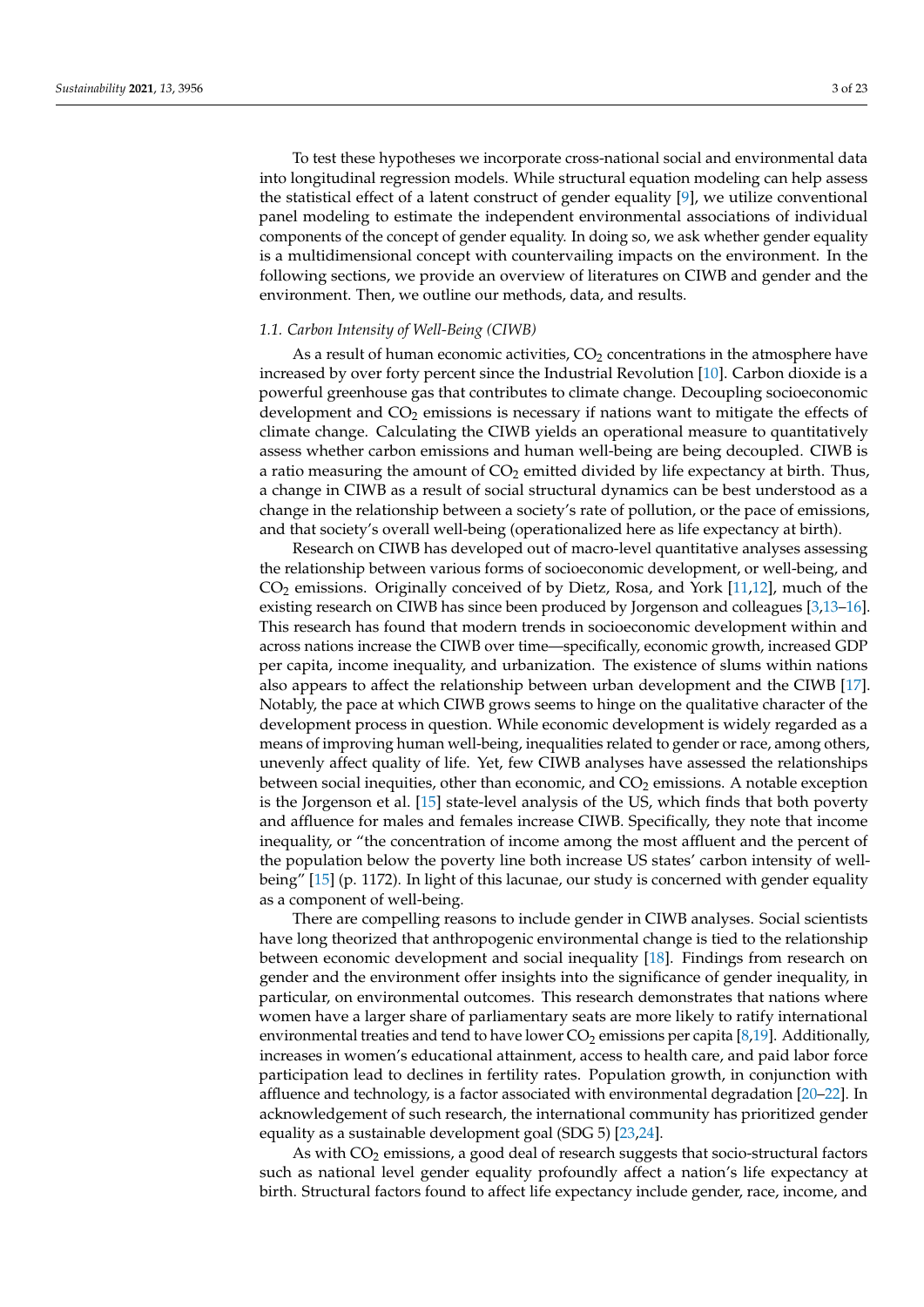To test these hypotheses we incorporate cross-national social and environmental data into longitudinal regression models. While structural equation modeling can help assess the statistical effect of a latent construct of gender equality [\[9\]](#page-20-8), we utilize conventional panel modeling to estimate the independent environmental associations of individual components of the concept of gender equality. In doing so, we ask whether gender equality is a multidimensional concept with countervailing impacts on the environment. In the following sections, we provide an overview of literatures on CIWB and gender and the environment. Then, we outline our methods, data, and results.

## *1.1. Carbon Intensity of Well-Being (CIWB)*

As a result of human economic activities,  $CO<sub>2</sub>$  concentrations in the atmosphere have increased by over forty percent since the Industrial Revolution [\[10\]](#page-20-9). Carbon dioxide is a powerful greenhouse gas that contributes to climate change. Decoupling socioeconomic development and  $CO<sub>2</sub>$  emissions is necessary if nations want to mitigate the effects of climate change. Calculating the CIWB yields an operational measure to quantitatively assess whether carbon emissions and human well-being are being decoupled. CIWB is a ratio measuring the amount of  $CO<sub>2</sub>$  emitted divided by life expectancy at birth. Thus, a change in CIWB as a result of social structural dynamics can be best understood as a change in the relationship between a society's rate of pollution, or the pace of emissions, and that society's overall well-being (operationalized here as life expectancy at birth).

Research on CIWB has developed out of macro-level quantitative analyses assessing the relationship between various forms of socioeconomic development, or well-being, and  $CO<sub>2</sub>$  emissions. Originally conceived of by Dietz, Rosa, and York [\[11](#page-20-10)[,12\]](#page-20-11), much of the existing research on CIWB has since been produced by Jorgenson and colleagues [\[3](#page-20-2)[,13](#page-20-12)[–16\]](#page-20-13). This research has found that modern trends in socioeconomic development within and across nations increase the CIWB over time—specifically, economic growth, increased GDP per capita, income inequality, and urbanization. The existence of slums within nations also appears to affect the relationship between urban development and the CIWB [\[17\]](#page-20-14). Notably, the pace at which CIWB grows seems to hinge on the qualitative character of the development process in question. While economic development is widely regarded as a means of improving human well-being, inequalities related to gender or race, among others, unevenly affect quality of life. Yet, few CIWB analyses have assessed the relationships between social inequities, other than economic, and  $CO<sub>2</sub>$  emissions. A notable exception is the Jorgenson et al. [\[15\]](#page-20-15) state-level analysis of the US, which finds that both poverty and affluence for males and females increase CIWB. Specifically, they note that income inequality, or "the concentration of income among the most affluent and the percent of the population below the poverty line both increase US states' carbon intensity of wellbeing" [\[15\]](#page-20-15) (p. 1172). In light of this lacunae, our study is concerned with gender equality as a component of well-being.

There are compelling reasons to include gender in CIWB analyses. Social scientists have long theorized that anthropogenic environmental change is tied to the relationship between economic development and social inequality [\[18\]](#page-20-16). Findings from research on gender and the environment offer insights into the significance of gender inequality, in particular, on environmental outcomes. This research demonstrates that nations where women have a larger share of parliamentary seats are more likely to ratify international environmental treaties and tend to have lower  $CO_2$  emissions per capita [\[8](#page-20-7)[,19\]](#page-20-17). Additionally, increases in women's educational attainment, access to health care, and paid labor force participation lead to declines in fertility rates. Population growth, in conjunction with affluence and technology, is a factor associated with environmental degradation [\[20–](#page-20-18)[22\]](#page-20-19). In acknowledgement of such research, the international community has prioritized gender equality as a sustainable development goal (SDG 5) [\[23](#page-20-20)[,24\]](#page-20-21).

As with  $CO<sub>2</sub>$  emissions, a good deal of research suggests that socio-structural factors such as national level gender equality profoundly affect a nation's life expectancy at birth. Structural factors found to affect life expectancy include gender, race, income, and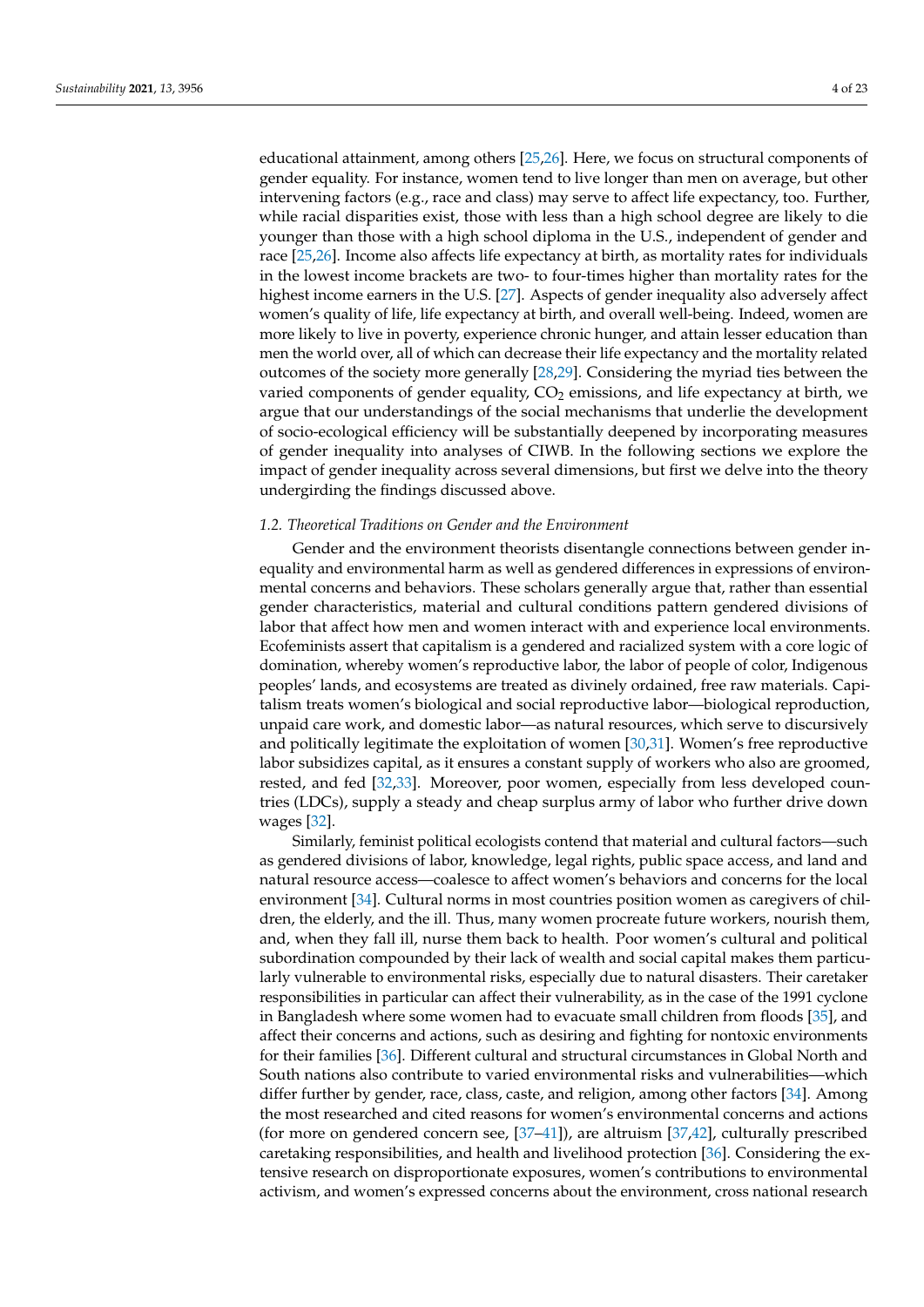educational attainment, among others [\[25,](#page-20-22)[26\]](#page-20-23). Here, we focus on structural components of gender equality. For instance, women tend to live longer than men on average, but other intervening factors (e.g., race and class) may serve to affect life expectancy, too. Further, while racial disparities exist, those with less than a high school degree are likely to die younger than those with a high school diploma in the U.S., independent of gender and race [\[25,](#page-20-22)[26\]](#page-20-23). Income also affects life expectancy at birth, as mortality rates for individuals in the lowest income brackets are two- to four-times higher than mortality rates for the highest income earners in the U.S. [\[27\]](#page-20-24). Aspects of gender inequality also adversely affect women's quality of life, life expectancy at birth, and overall well-being. Indeed, women are more likely to live in poverty, experience chronic hunger, and attain lesser education than men the world over, all of which can decrease their life expectancy and the mortality related outcomes of the society more generally [\[28](#page-20-25)[,29\]](#page-20-26). Considering the myriad ties between the varied components of gender equality,  $CO<sub>2</sub>$  emissions, and life expectancy at birth, we argue that our understandings of the social mechanisms that underlie the development of socio-ecological efficiency will be substantially deepened by incorporating measures of gender inequality into analyses of CIWB. In the following sections we explore the impact of gender inequality across several dimensions, but first we delve into the theory undergirding the findings discussed above.

## *1.2. Theoretical Traditions on Gender and the Environment*

Gender and the environment theorists disentangle connections between gender inequality and environmental harm as well as gendered differences in expressions of environmental concerns and behaviors. These scholars generally argue that, rather than essential gender characteristics, material and cultural conditions pattern gendered divisions of labor that affect how men and women interact with and experience local environments. Ecofeminists assert that capitalism is a gendered and racialized system with a core logic of domination, whereby women's reproductive labor, the labor of people of color, Indigenous peoples' lands, and ecosystems are treated as divinely ordained, free raw materials. Capitalism treats women's biological and social reproductive labor—biological reproduction, unpaid care work, and domestic labor—as natural resources, which serve to discursively and politically legitimate the exploitation of women [\[30,](#page-20-27)[31\]](#page-20-28). Women's free reproductive labor subsidizes capital, as it ensures a constant supply of workers who also are groomed, rested, and fed [\[32](#page-20-29)[,33\]](#page-20-30). Moreover, poor women, especially from less developed countries (LDCs), supply a steady and cheap surplus army of labor who further drive down wages [\[32\]](#page-20-29).

Similarly, feminist political ecologists contend that material and cultural factors—such as gendered divisions of labor, knowledge, legal rights, public space access, and land and natural resource access—coalesce to affect women's behaviors and concerns for the local environment [\[34\]](#page-21-0). Cultural norms in most countries position women as caregivers of children, the elderly, and the ill. Thus, many women procreate future workers, nourish them, and, when they fall ill, nurse them back to health. Poor women's cultural and political subordination compounded by their lack of wealth and social capital makes them particularly vulnerable to environmental risks, especially due to natural disasters. Their caretaker responsibilities in particular can affect their vulnerability, as in the case of the 1991 cyclone in Bangladesh where some women had to evacuate small children from floods [\[35\]](#page-21-1), and affect their concerns and actions, such as desiring and fighting for nontoxic environments for their families [\[36\]](#page-21-2). Different cultural and structural circumstances in Global North and South nations also contribute to varied environmental risks and vulnerabilities—which differ further by gender, race, class, caste, and religion, among other factors [\[34\]](#page-21-0). Among the most researched and cited reasons for women's environmental concerns and actions (for more on gendered concern see, [\[37–](#page-21-3)[41\]](#page-21-4)), are altruism [\[37](#page-21-3)[,42\]](#page-21-5), culturally prescribed caretaking responsibilities, and health and livelihood protection [\[36\]](#page-21-2). Considering the extensive research on disproportionate exposures, women's contributions to environmental activism, and women's expressed concerns about the environment, cross national research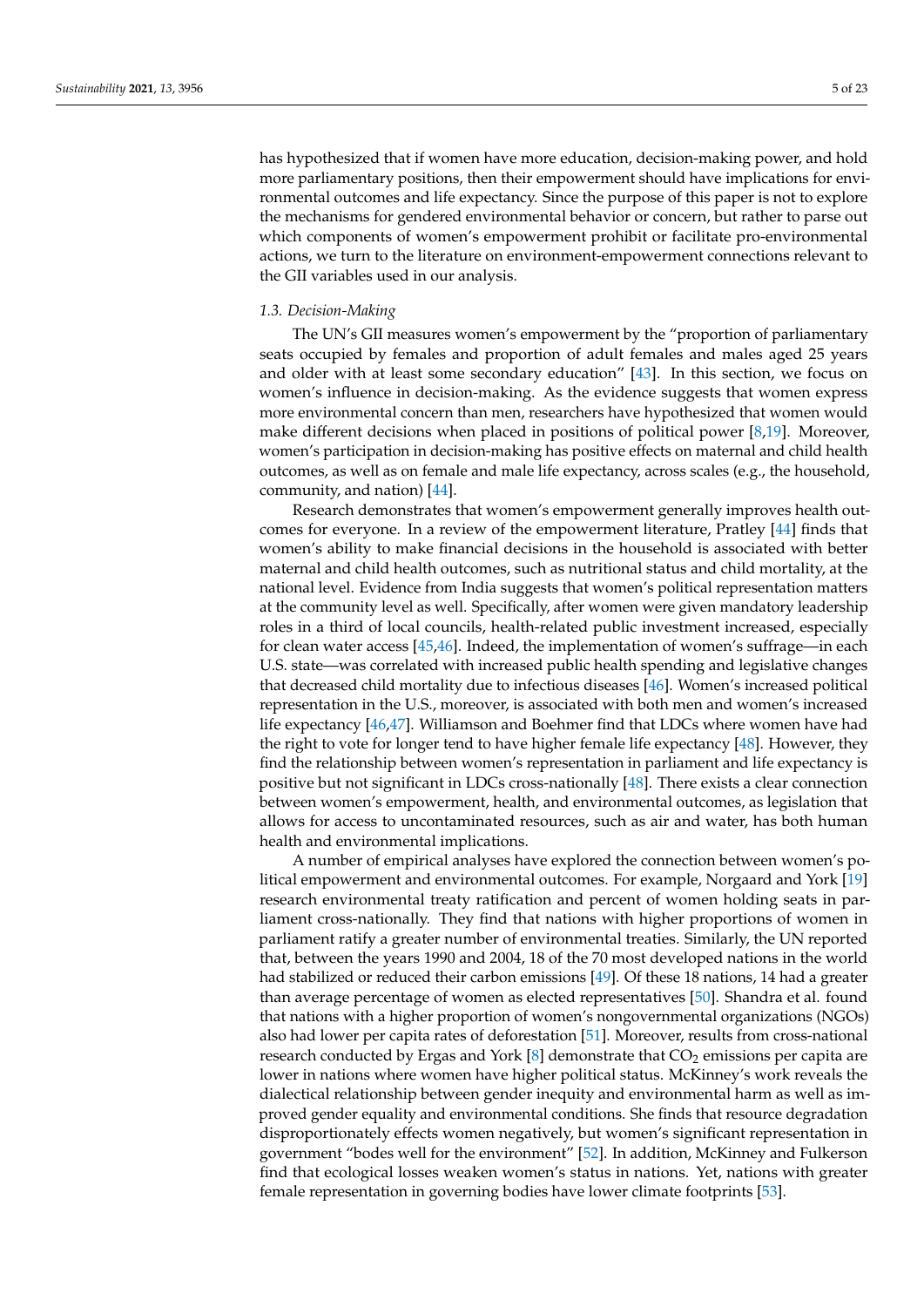has hypothesized that if women have more education, decision-making power, and hold more parliamentary positions, then their empowerment should have implications for environmental outcomes and life expectancy. Since the purpose of this paper is not to explore the mechanisms for gendered environmental behavior or concern, but rather to parse out which components of women's empowerment prohibit or facilitate pro-environmental actions, we turn to the literature on environment-empowerment connections relevant to the GII variables used in our analysis.

### *1.3. Decision-Making*

The UN's GII measures women's empowerment by the "proportion of parliamentary seats occupied by females and proportion of adult females and males aged 25 years and older with at least some secondary education" [\[43\]](#page-21-6). In this section, we focus on women's influence in decision-making. As the evidence suggests that women express more environmental concern than men, researchers have hypothesized that women would make different decisions when placed in positions of political power [\[8,](#page-20-7)[19\]](#page-20-17). Moreover, women's participation in decision-making has positive effects on maternal and child health outcomes, as well as on female and male life expectancy, across scales (e.g., the household, community, and nation) [\[44\]](#page-21-7).

Research demonstrates that women's empowerment generally improves health outcomes for everyone. In a review of the empowerment literature, Pratley [\[44\]](#page-21-7) finds that women's ability to make financial decisions in the household is associated with better maternal and child health outcomes, such as nutritional status and child mortality, at the national level. Evidence from India suggests that women's political representation matters at the community level as well. Specifically, after women were given mandatory leadership roles in a third of local councils, health-related public investment increased, especially for clean water access [\[45](#page-21-8)[,46\]](#page-21-9). Indeed, the implementation of women's suffrage—in each U.S. state—was correlated with increased public health spending and legislative changes that decreased child mortality due to infectious diseases [\[46\]](#page-21-9). Women's increased political representation in the U.S., moreover, is associated with both men and women's increased life expectancy [\[46](#page-21-9)[,47\]](#page-21-10). Williamson and Boehmer find that LDCs where women have had the right to vote for longer tend to have higher female life expectancy [\[48\]](#page-21-11). However, they find the relationship between women's representation in parliament and life expectancy is positive but not significant in LDCs cross-nationally [\[48\]](#page-21-11). There exists a clear connection between women's empowerment, health, and environmental outcomes, as legislation that allows for access to uncontaminated resources, such as air and water, has both human health and environmental implications.

A number of empirical analyses have explored the connection between women's political empowerment and environmental outcomes. For example, Norgaard and York [\[19\]](#page-20-17) research environmental treaty ratification and percent of women holding seats in parliament cross-nationally. They find that nations with higher proportions of women in parliament ratify a greater number of environmental treaties. Similarly, the UN reported that, between the years 1990 and 2004, 18 of the 70 most developed nations in the world had stabilized or reduced their carbon emissions [\[49\]](#page-21-12). Of these 18 nations, 14 had a greater than average percentage of women as elected representatives [\[50\]](#page-21-13). Shandra et al. found that nations with a higher proportion of women's nongovernmental organizations (NGOs) also had lower per capita rates of deforestation [\[51\]](#page-21-14). Moreover, results from cross-national research conducted by Ergas and York  $[8]$  demonstrate that  $CO<sub>2</sub>$  emissions per capita are lower in nations where women have higher political status. McKinney's work reveals the dialectical relationship between gender inequity and environmental harm as well as improved gender equality and environmental conditions. She finds that resource degradation disproportionately effects women negatively, but women's significant representation in government "bodes well for the environment" [\[52\]](#page-21-15). In addition, McKinney and Fulkerson find that ecological losses weaken women's status in nations. Yet, nations with greater female representation in governing bodies have lower climate footprints [\[53\]](#page-21-16).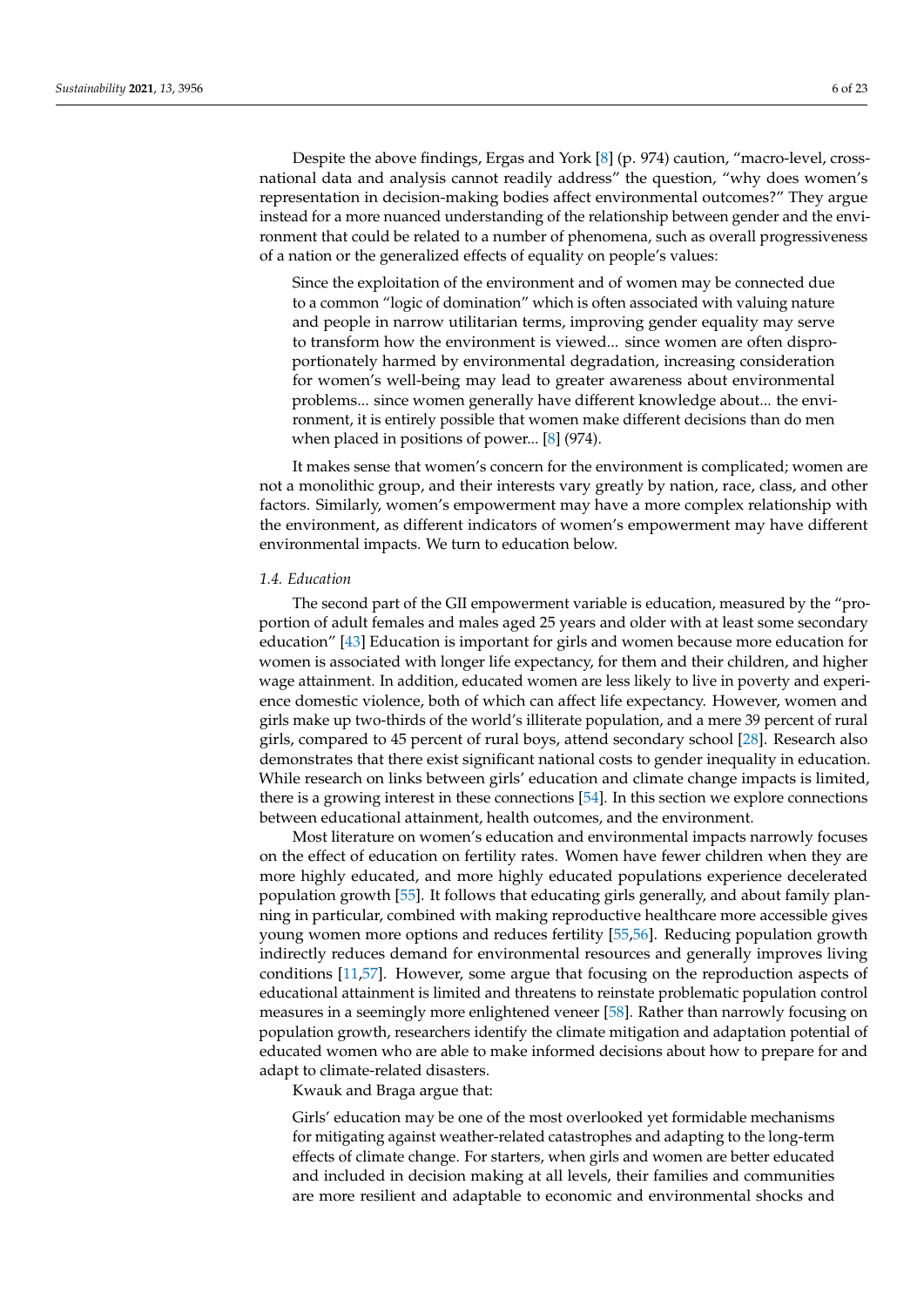Despite the above findings, Ergas and York [\[8\]](#page-20-7) (p. 974) caution, "macro-level, crossnational data and analysis cannot readily address" the question, "why does women's representation in decision-making bodies affect environmental outcomes?" They argue instead for a more nuanced understanding of the relationship between gender and the environment that could be related to a number of phenomena, such as overall progressiveness of a nation or the generalized effects of equality on people's values:

Since the exploitation of the environment and of women may be connected due to a common "logic of domination" which is often associated with valuing nature and people in narrow utilitarian terms, improving gender equality may serve to transform how the environment is viewed... since women are often disproportionately harmed by environmental degradation, increasing consideration for women's well-being may lead to greater awareness about environmental problems... since women generally have different knowledge about... the environment, it is entirely possible that women make different decisions than do men when placed in positions of power... [\[8\]](#page-20-7) (974).

It makes sense that women's concern for the environment is complicated; women are not a monolithic group, and their interests vary greatly by nation, race, class, and other factors. Similarly, women's empowerment may have a more complex relationship with the environment, as different indicators of women's empowerment may have different environmental impacts. We turn to education below.

#### *1.4. Education*

The second part of the GII empowerment variable is education, measured by the "proportion of adult females and males aged 25 years and older with at least some secondary education" [\[43\]](#page-21-6) Education is important for girls and women because more education for women is associated with longer life expectancy, for them and their children, and higher wage attainment. In addition, educated women are less likely to live in poverty and experience domestic violence, both of which can affect life expectancy. However, women and girls make up two-thirds of the world's illiterate population, and a mere 39 percent of rural girls, compared to 45 percent of rural boys, attend secondary school [\[28\]](#page-20-25). Research also demonstrates that there exist significant national costs to gender inequality in education. While research on links between girls' education and climate change impacts is limited, there is a growing interest in these connections [\[54\]](#page-21-17). In this section we explore connections between educational attainment, health outcomes, and the environment.

Most literature on women's education and environmental impacts narrowly focuses on the effect of education on fertility rates. Women have fewer children when they are more highly educated, and more highly educated populations experience decelerated population growth [\[55\]](#page-21-18). It follows that educating girls generally, and about family planning in particular, combined with making reproductive healthcare more accessible gives young women more options and reduces fertility [\[55](#page-21-18)[,56\]](#page-21-19). Reducing population growth indirectly reduces demand for environmental resources and generally improves living conditions [\[11,](#page-20-10)[57\]](#page-21-20). However, some argue that focusing on the reproduction aspects of educational attainment is limited and threatens to reinstate problematic population control measures in a seemingly more enlightened veneer [\[58\]](#page-21-21). Rather than narrowly focusing on population growth, researchers identify the climate mitigation and adaptation potential of educated women who are able to make informed decisions about how to prepare for and adapt to climate-related disasters.

Kwauk and Braga argue that:

Girls' education may be one of the most overlooked yet formidable mechanisms for mitigating against weather-related catastrophes and adapting to the long-term effects of climate change. For starters, when girls and women are better educated and included in decision making at all levels, their families and communities are more resilient and adaptable to economic and environmental shocks and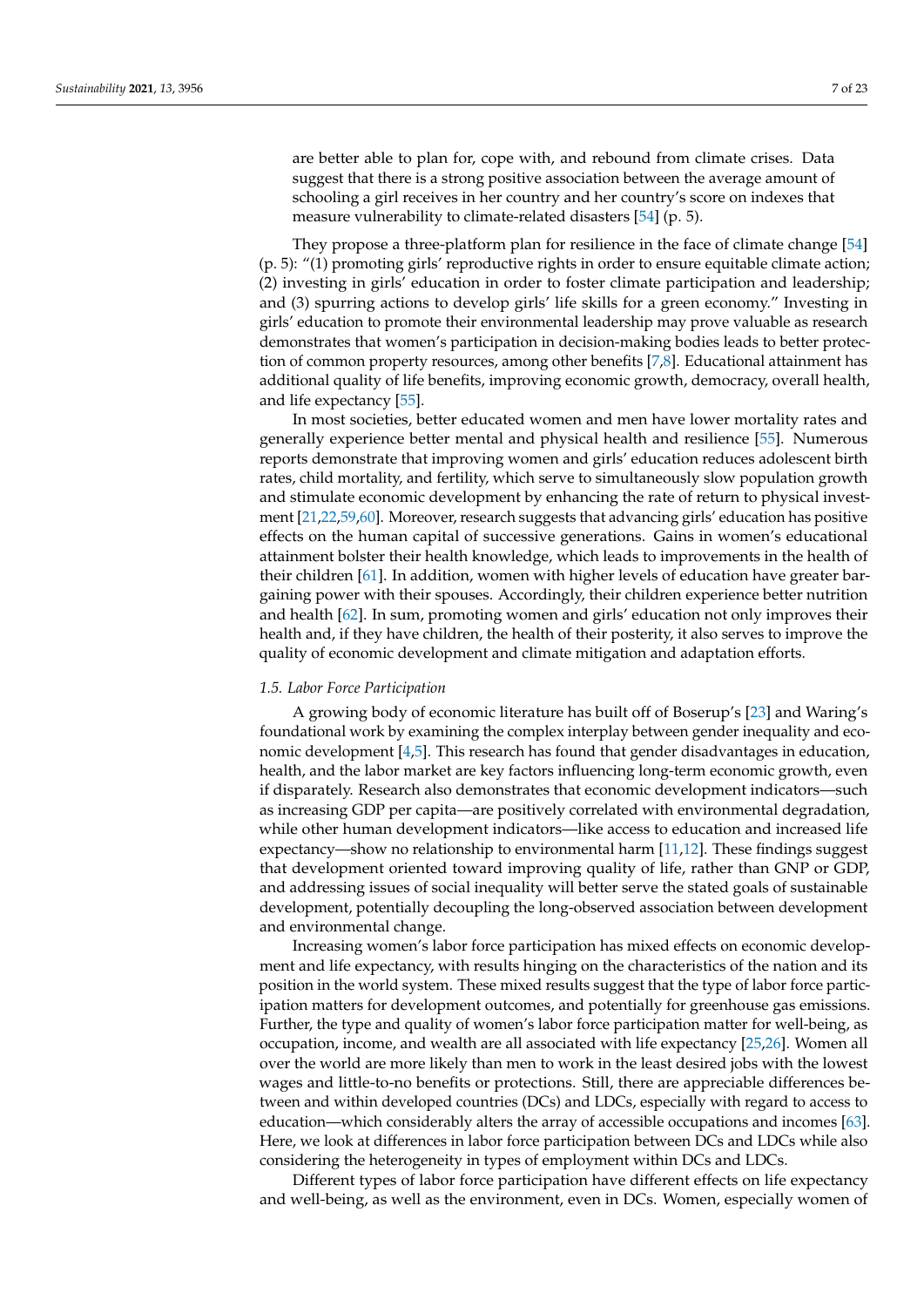are better able to plan for, cope with, and rebound from climate crises. Data suggest that there is a strong positive association between the average amount of schooling a girl receives in her country and her country's score on indexes that measure vulnerability to climate-related disasters [\[54\]](#page-21-17) (p. 5).

They propose a three-platform plan for resilience in the face of climate change [\[54\]](#page-21-17) (p. 5): "(1) promoting girls' reproductive rights in order to ensure equitable climate action; (2) investing in girls' education in order to foster climate participation and leadership; and (3) spurring actions to develop girls' life skills for a green economy." Investing in girls' education to promote their environmental leadership may prove valuable as research demonstrates that women's participation in decision-making bodies leads to better protection of common property resources, among other benefits [\[7,](#page-20-6)[8\]](#page-20-7). Educational attainment has additional quality of life benefits, improving economic growth, democracy, overall health, and life expectancy [\[55\]](#page-21-18).

In most societies, better educated women and men have lower mortality rates and generally experience better mental and physical health and resilience [\[55\]](#page-21-18). Numerous reports demonstrate that improving women and girls' education reduces adolescent birth rates, child mortality, and fertility, which serve to simultaneously slow population growth and stimulate economic development by enhancing the rate of return to physical investment [\[21,](#page-20-31)[22](#page-20-19)[,59](#page-21-22)[,60\]](#page-21-23). Moreover, research suggests that advancing girls' education has positive effects on the human capital of successive generations. Gains in women's educational attainment bolster their health knowledge, which leads to improvements in the health of their children [\[61\]](#page-21-24). In addition, women with higher levels of education have greater bargaining power with their spouses. Accordingly, their children experience better nutrition and health [\[62\]](#page-21-25). In sum, promoting women and girls' education not only improves their health and, if they have children, the health of their posterity, it also serves to improve the quality of economic development and climate mitigation and adaptation efforts.

#### *1.5. Labor Force Participation*

A growing body of economic literature has built off of Boserup's [\[23\]](#page-20-20) and Waring's foundational work by examining the complex interplay between gender inequality and economic development [\[4](#page-20-3)[,5\]](#page-20-4). This research has found that gender disadvantages in education, health, and the labor market are key factors influencing long-term economic growth, even if disparately. Research also demonstrates that economic development indicators—such as increasing GDP per capita—are positively correlated with environmental degradation, while other human development indicators—like access to education and increased life expectancy—show no relationship to environmental harm [\[11](#page-20-10)[,12\]](#page-20-11). These findings suggest that development oriented toward improving quality of life, rather than GNP or GDP, and addressing issues of social inequality will better serve the stated goals of sustainable development, potentially decoupling the long-observed association between development and environmental change.

Increasing women's labor force participation has mixed effects on economic development and life expectancy, with results hinging on the characteristics of the nation and its position in the world system. These mixed results suggest that the type of labor force participation matters for development outcomes, and potentially for greenhouse gas emissions. Further, the type and quality of women's labor force participation matter for well-being, as occupation, income, and wealth are all associated with life expectancy [\[25](#page-20-22)[,26\]](#page-20-23). Women all over the world are more likely than men to work in the least desired jobs with the lowest wages and little-to-no benefits or protections. Still, there are appreciable differences between and within developed countries (DCs) and LDCs, especially with regard to access to education—which considerably alters the array of accessible occupations and incomes [\[63\]](#page-21-26). Here, we look at differences in labor force participation between DCs and LDCs while also considering the heterogeneity in types of employment within DCs and LDCs.

Different types of labor force participation have different effects on life expectancy and well-being, as well as the environment, even in DCs. Women, especially women of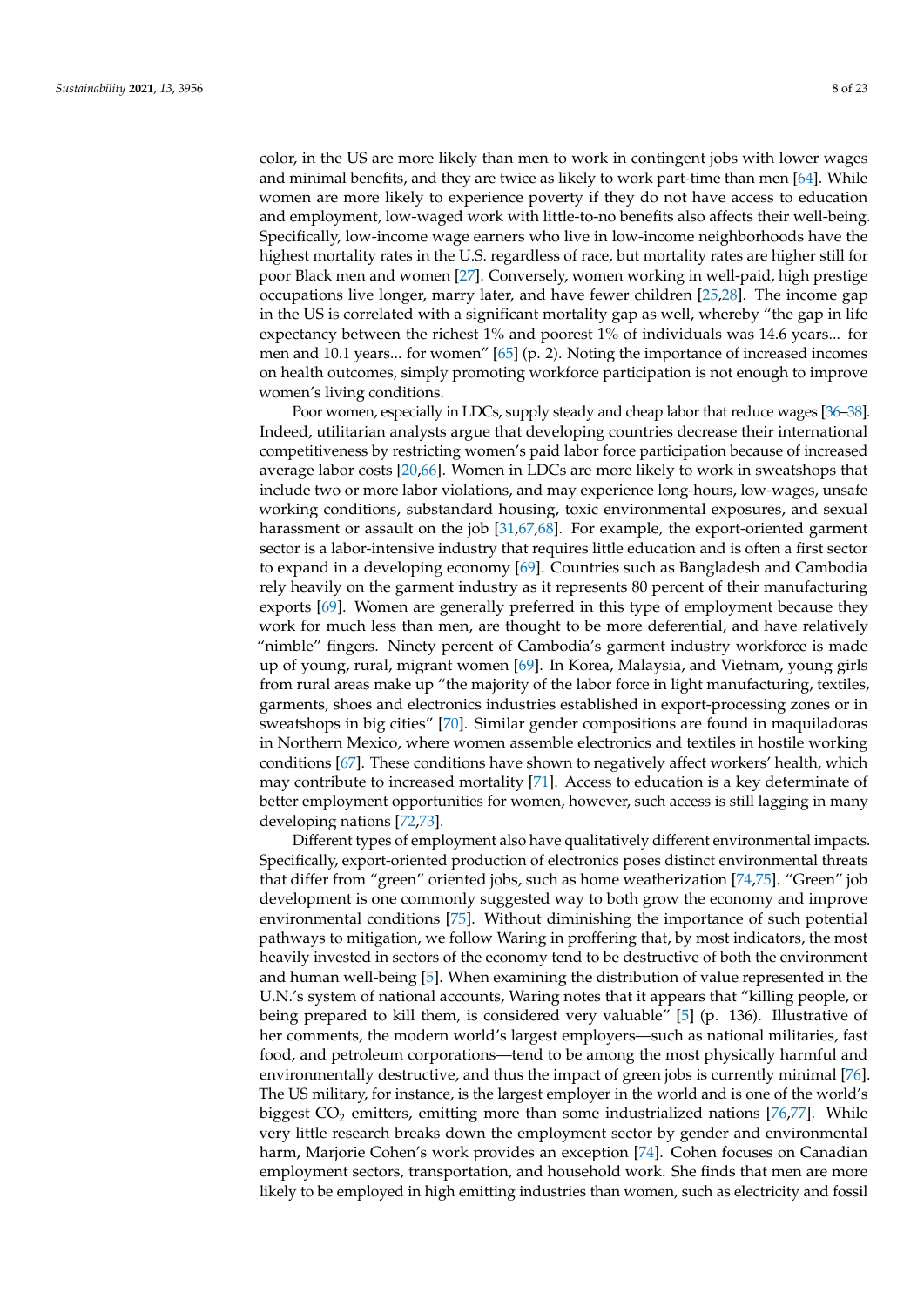color, in the US are more likely than men to work in contingent jobs with lower wages and minimal benefits, and they are twice as likely to work part-time than men [\[64\]](#page-22-0). While women are more likely to experience poverty if they do not have access to education and employment, low-waged work with little-to-no benefits also affects their well-being. Specifically, low-income wage earners who live in low-income neighborhoods have the highest mortality rates in the U.S. regardless of race, but mortality rates are higher still for poor Black men and women [\[27\]](#page-20-24). Conversely, women working in well-paid, high prestige occupations live longer, marry later, and have fewer children [\[25,](#page-20-22)[28\]](#page-20-25). The income gap in the US is correlated with a significant mortality gap as well, whereby "the gap in life expectancy between the richest 1% and poorest 1% of individuals was 14.6 years... for men and 10.1 years... for women" [\[65\]](#page-22-1) (p. 2). Noting the importance of increased incomes on health outcomes, simply promoting workforce participation is not enough to improve women's living conditions.

Poor women, especially in LDCs, supply steady and cheap labor that reduce wages [\[36–](#page-21-2)[38\]](#page-21-27). Indeed, utilitarian analysts argue that developing countries decrease their international competitiveness by restricting women's paid labor force participation because of increased average labor costs [\[20,](#page-20-18)[66\]](#page-22-2). Women in LDCs are more likely to work in sweatshops that include two or more labor violations, and may experience long-hours, low-wages, unsafe working conditions, substandard housing, toxic environmental exposures, and sexual harassment or assault on the job [\[31](#page-20-28)[,67](#page-22-3)[,68\]](#page-22-4). For example, the export-oriented garment sector is a labor-intensive industry that requires little education and is often a first sector to expand in a developing economy [\[69\]](#page-22-5). Countries such as Bangladesh and Cambodia rely heavily on the garment industry as it represents 80 percent of their manufacturing exports [\[69\]](#page-22-5). Women are generally preferred in this type of employment because they work for much less than men, are thought to be more deferential, and have relatively "nimble" fingers. Ninety percent of Cambodia's garment industry workforce is made up of young, rural, migrant women [\[69\]](#page-22-5). In Korea, Malaysia, and Vietnam, young girls from rural areas make up "the majority of the labor force in light manufacturing, textiles, garments, shoes and electronics industries established in export-processing zones or in sweatshops in big cities" [\[70\]](#page-22-6). Similar gender compositions are found in maquiladoras in Northern Mexico, where women assemble electronics and textiles in hostile working conditions [\[67\]](#page-22-3). These conditions have shown to negatively affect workers' health, which may contribute to increased mortality [\[71\]](#page-22-7). Access to education is a key determinate of better employment opportunities for women, however, such access is still lagging in many developing nations [\[72](#page-22-8)[,73\]](#page-22-9).

Different types of employment also have qualitatively different environmental impacts. Specifically, export-oriented production of electronics poses distinct environmental threats that differ from "green" oriented jobs, such as home weatherization [\[74,](#page-22-10)[75\]](#page-22-11). "Green" job development is one commonly suggested way to both grow the economy and improve environmental conditions [\[75\]](#page-22-11). Without diminishing the importance of such potential pathways to mitigation, we follow Waring in proffering that, by most indicators, the most heavily invested in sectors of the economy tend to be destructive of both the environment and human well-being [\[5\]](#page-20-4). When examining the distribution of value represented in the U.N.'s system of national accounts, Waring notes that it appears that "killing people, or being prepared to kill them, is considered very valuable" [\[5\]](#page-20-4) (p. 136). Illustrative of her comments, the modern world's largest employers—such as national militaries, fast food, and petroleum corporations—tend to be among the most physically harmful and environmentally destructive, and thus the impact of green jobs is currently minimal [\[76\]](#page-22-12). The US military, for instance, is the largest employer in the world and is one of the world's biggest  $CO<sub>2</sub>$  emitters, emitting more than some industrialized nations [\[76,](#page-22-12)[77\]](#page-22-13). While very little research breaks down the employment sector by gender and environmental harm, Marjorie Cohen's work provides an exception [\[74\]](#page-22-10). Cohen focuses on Canadian employment sectors, transportation, and household work. She finds that men are more likely to be employed in high emitting industries than women, such as electricity and fossil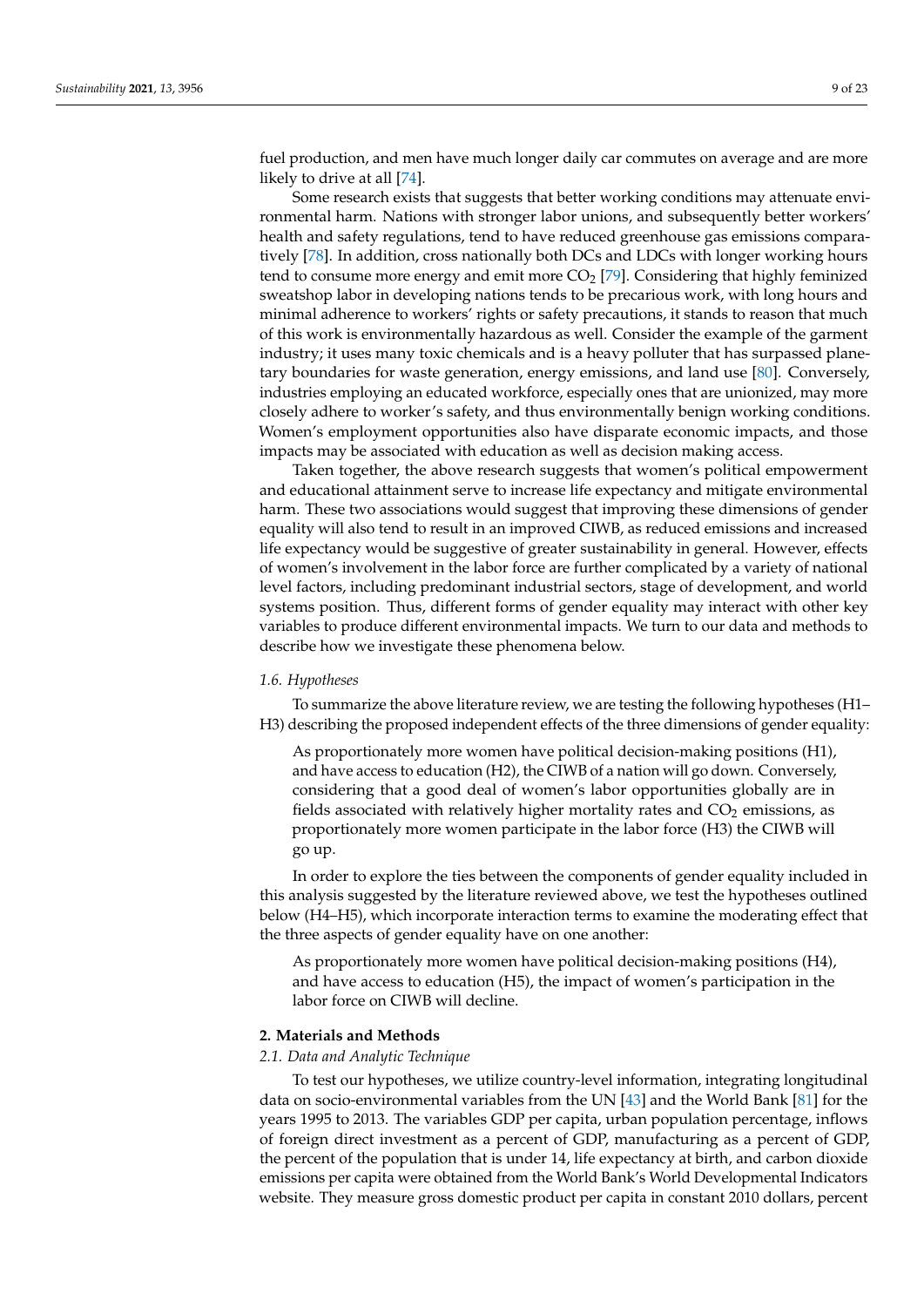fuel production, and men have much longer daily car commutes on average and are more likely to drive at all [\[74\]](#page-22-10).

Some research exists that suggests that better working conditions may attenuate environmental harm. Nations with stronger labor unions, and subsequently better workers' health and safety regulations, tend to have reduced greenhouse gas emissions comparatively [\[78\]](#page-22-14). In addition, cross nationally both DCs and LDCs with longer working hours tend to consume more energy and emit more  $CO<sub>2</sub>$  [\[79\]](#page-22-15). Considering that highly feminized sweatshop labor in developing nations tends to be precarious work, with long hours and minimal adherence to workers' rights or safety precautions, it stands to reason that much of this work is environmentally hazardous as well. Consider the example of the garment industry; it uses many toxic chemicals and is a heavy polluter that has surpassed planetary boundaries for waste generation, energy emissions, and land use [\[80\]](#page-22-16). Conversely, industries employing an educated workforce, especially ones that are unionized, may more closely adhere to worker's safety, and thus environmentally benign working conditions. Women's employment opportunities also have disparate economic impacts, and those impacts may be associated with education as well as decision making access.

Taken together, the above research suggests that women's political empowerment and educational attainment serve to increase life expectancy and mitigate environmental harm. These two associations would suggest that improving these dimensions of gender equality will also tend to result in an improved CIWB, as reduced emissions and increased life expectancy would be suggestive of greater sustainability in general. However, effects of women's involvement in the labor force are further complicated by a variety of national level factors, including predominant industrial sectors, stage of development, and world systems position. Thus, different forms of gender equality may interact with other key variables to produce different environmental impacts. We turn to our data and methods to describe how we investigate these phenomena below.

### *1.6. Hypotheses*

To summarize the above literature review, we are testing the following hypotheses (H1– H3) describing the proposed independent effects of the three dimensions of gender equality:

As proportionately more women have political decision-making positions (H1), and have access to education (H2), the CIWB of a nation will go down. Conversely, considering that a good deal of women's labor opportunities globally are in fields associated with relatively higher mortality rates and  $CO<sub>2</sub>$  emissions, as proportionately more women participate in the labor force (H3) the CIWB will go up.

In order to explore the ties between the components of gender equality included in this analysis suggested by the literature reviewed above, we test the hypotheses outlined below (H4–H5), which incorporate interaction terms to examine the moderating effect that the three aspects of gender equality have on one another:

As proportionately more women have political decision-making positions (H4), and have access to education (H5), the impact of women's participation in the labor force on CIWB will decline.

#### **2. Materials and Methods**

#### *2.1. Data and Analytic Technique*

To test our hypotheses, we utilize country-level information, integrating longitudinal data on socio-environmental variables from the UN [\[43\]](#page-21-6) and the World Bank [\[81\]](#page-22-17) for the years 1995 to 2013. The variables GDP per capita, urban population percentage, inflows of foreign direct investment as a percent of GDP, manufacturing as a percent of GDP, the percent of the population that is under 14, life expectancy at birth, and carbon dioxide emissions per capita were obtained from the World Bank's World Developmental Indicators website. They measure gross domestic product per capita in constant 2010 dollars, percent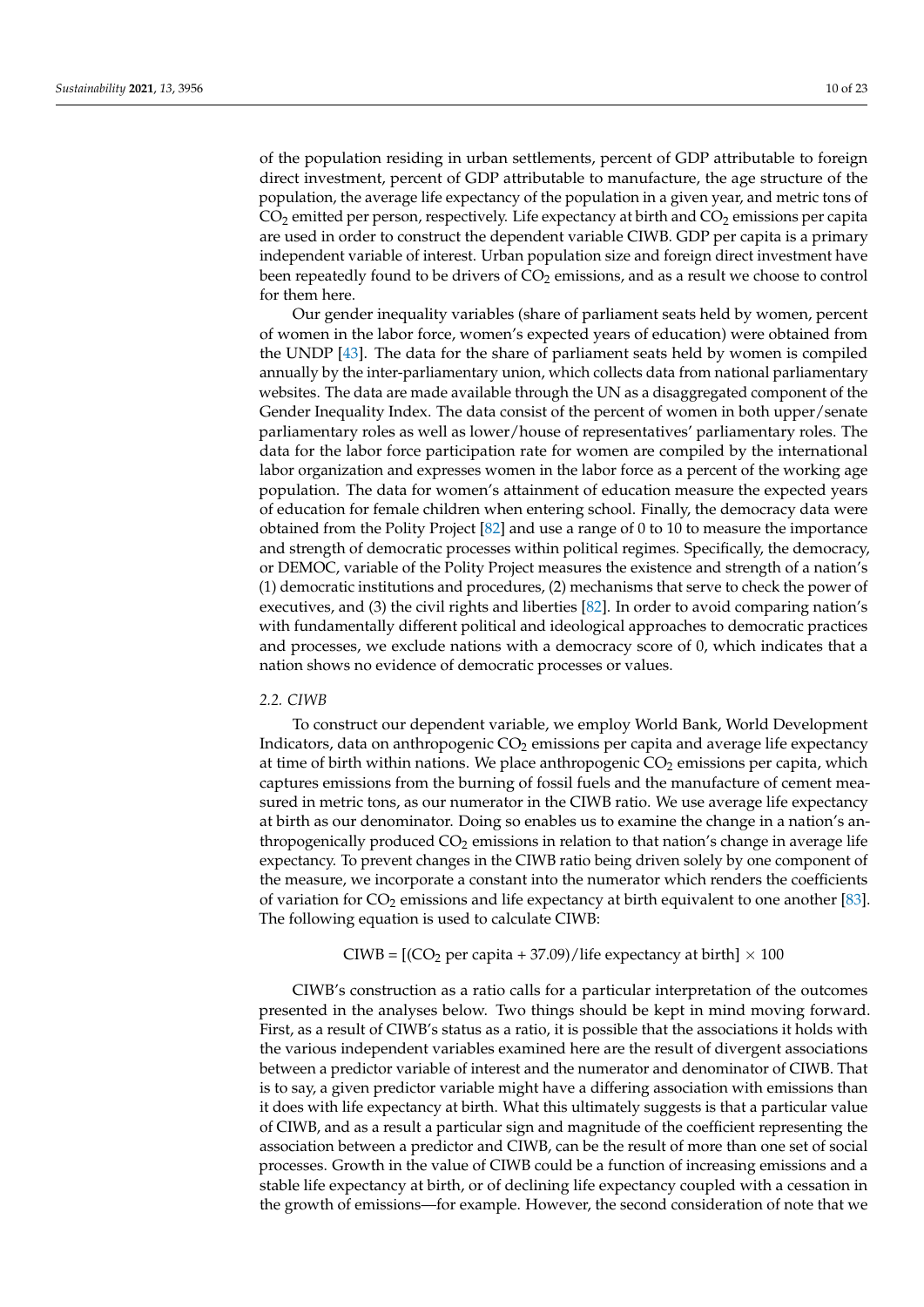of the population residing in urban settlements, percent of GDP attributable to foreign direct investment, percent of GDP attributable to manufacture, the age structure of the population, the average life expectancy of the population in a given year, and metric tons of  $CO<sub>2</sub>$  emitted per person, respectively. Life expectancy at birth and  $CO<sub>2</sub>$  emissions per capita are used in order to construct the dependent variable CIWB. GDP per capita is a primary independent variable of interest. Urban population size and foreign direct investment have been repeatedly found to be drivers of  $CO<sub>2</sub>$  emissions, and as a result we choose to control for them here.

Our gender inequality variables (share of parliament seats held by women, percent of women in the labor force, women's expected years of education) were obtained from the UNDP [\[43\]](#page-21-6). The data for the share of parliament seats held by women is compiled annually by the inter-parliamentary union, which collects data from national parliamentary websites. The data are made available through the UN as a disaggregated component of the Gender Inequality Index. The data consist of the percent of women in both upper/senate parliamentary roles as well as lower/house of representatives' parliamentary roles. The data for the labor force participation rate for women are compiled by the international labor organization and expresses women in the labor force as a percent of the working age population. The data for women's attainment of education measure the expected years of education for female children when entering school. Finally, the democracy data were obtained from the Polity Project [\[82\]](#page-22-18) and use a range of 0 to 10 to measure the importance and strength of democratic processes within political regimes. Specifically, the democracy, or DEMOC, variable of the Polity Project measures the existence and strength of a nation's (1) democratic institutions and procedures, (2) mechanisms that serve to check the power of executives, and (3) the civil rights and liberties [\[82\]](#page-22-18). In order to avoid comparing nation's with fundamentally different political and ideological approaches to democratic practices and processes, we exclude nations with a democracy score of 0, which indicates that a nation shows no evidence of democratic processes or values.

#### *2.2. CIWB*

To construct our dependent variable, we employ World Bank, World Development Indicators, data on anthropogenic  $CO<sub>2</sub>$  emissions per capita and average life expectancy at time of birth within nations. We place anthropogenic  $CO<sub>2</sub>$  emissions per capita, which captures emissions from the burning of fossil fuels and the manufacture of cement measured in metric tons, as our numerator in the CIWB ratio. We use average life expectancy at birth as our denominator. Doing so enables us to examine the change in a nation's anthropogenically produced  $CO<sub>2</sub>$  emissions in relation to that nation's change in average life expectancy. To prevent changes in the CIWB ratio being driven solely by one component of the measure, we incorporate a constant into the numerator which renders the coefficients of variation for  $CO_2$  emissions and life expectancy at birth equivalent to one another [\[83\]](#page-22-19). The following equation is used to calculate CIWB:

## CIWB =  $[(CO<sub>2</sub> per capita + 37.09)/$  life expectancy at birth $] \times 100$

CIWB's construction as a ratio calls for a particular interpretation of the outcomes presented in the analyses below. Two things should be kept in mind moving forward. First, as a result of CIWB's status as a ratio, it is possible that the associations it holds with the various independent variables examined here are the result of divergent associations between a predictor variable of interest and the numerator and denominator of CIWB. That is to say, a given predictor variable might have a differing association with emissions than it does with life expectancy at birth. What this ultimately suggests is that a particular value of CIWB, and as a result a particular sign and magnitude of the coefficient representing the association between a predictor and CIWB, can be the result of more than one set of social processes. Growth in the value of CIWB could be a function of increasing emissions and a stable life expectancy at birth, or of declining life expectancy coupled with a cessation in the growth of emissions—for example. However, the second consideration of note that we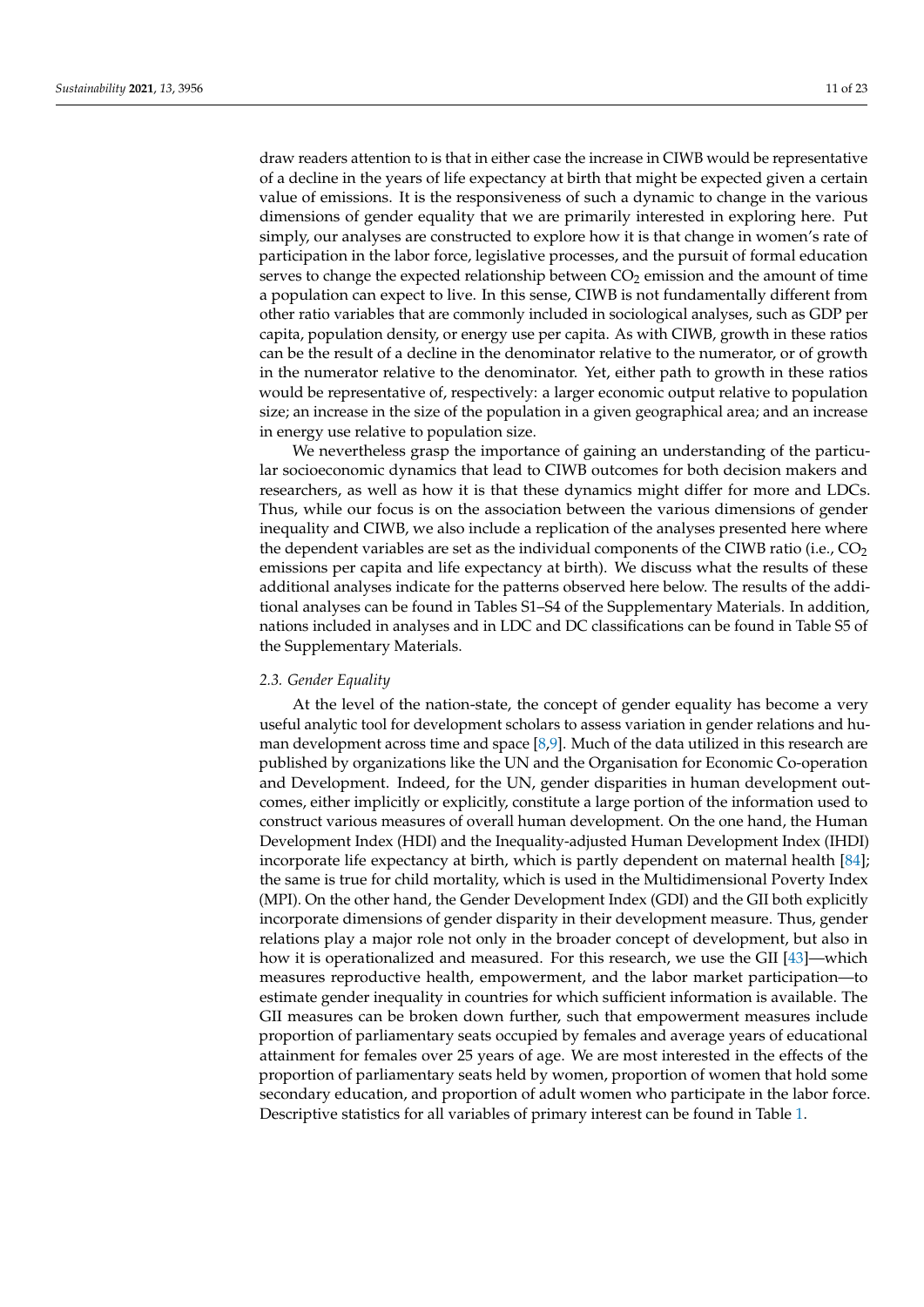draw readers attention to is that in either case the increase in CIWB would be representative of a decline in the years of life expectancy at birth that might be expected given a certain value of emissions. It is the responsiveness of such a dynamic to change in the various dimensions of gender equality that we are primarily interested in exploring here. Put simply, our analyses are constructed to explore how it is that change in women's rate of participation in the labor force, legislative processes, and the pursuit of formal education serves to change the expected relationship between  $CO<sub>2</sub>$  emission and the amount of time a population can expect to live. In this sense, CIWB is not fundamentally different from other ratio variables that are commonly included in sociological analyses, such as GDP per capita, population density, or energy use per capita. As with CIWB, growth in these ratios can be the result of a decline in the denominator relative to the numerator, or of growth in the numerator relative to the denominator. Yet, either path to growth in these ratios would be representative of, respectively: a larger economic output relative to population size; an increase in the size of the population in a given geographical area; and an increase in energy use relative to population size.

We nevertheless grasp the importance of gaining an understanding of the particular socioeconomic dynamics that lead to CIWB outcomes for both decision makers and researchers, as well as how it is that these dynamics might differ for more and LDCs. Thus, while our focus is on the association between the various dimensions of gender inequality and CIWB, we also include a replication of the analyses presented here where the dependent variables are set as the individual components of the CIWB ratio (i.e.,  $CO<sub>2</sub>$ emissions per capita and life expectancy at birth). We discuss what the results of these additional analyses indicate for the patterns observed here below. The results of the additional analyses can be found in Tables S1–S4 of the Supplementary Materials. In addition, nations included in analyses and in LDC and DC classifications can be found in Table S5 of the Supplementary Materials.

#### *2.3. Gender Equality*

At the level of the nation-state, the concept of gender equality has become a very useful analytic tool for development scholars to assess variation in gender relations and human development across time and space  $[8,9]$  $[8,9]$ . Much of the data utilized in this research are published by organizations like the UN and the Organisation for Economic Co-operation and Development. Indeed, for the UN, gender disparities in human development outcomes, either implicitly or explicitly, constitute a large portion of the information used to construct various measures of overall human development. On the one hand, the Human Development Index (HDI) and the Inequality-adjusted Human Development Index (IHDI) incorporate life expectancy at birth, which is partly dependent on maternal health [\[84\]](#page-22-20); the same is true for child mortality, which is used in the Multidimensional Poverty Index (MPI). On the other hand, the Gender Development Index (GDI) and the GII both explicitly incorporate dimensions of gender disparity in their development measure. Thus, gender relations play a major role not only in the broader concept of development, but also in how it is operationalized and measured. For this research, we use the GII [\[43\]](#page-21-6)—which measures reproductive health, empowerment, and the labor market participation—to estimate gender inequality in countries for which sufficient information is available. The GII measures can be broken down further, such that empowerment measures include proportion of parliamentary seats occupied by females and average years of educational attainment for females over 25 years of age. We are most interested in the effects of the proportion of parliamentary seats held by women, proportion of women that hold some secondary education, and proportion of adult women who participate in the labor force. Descriptive statistics for all variables of primary interest can be found in Table [1.](#page-11-0)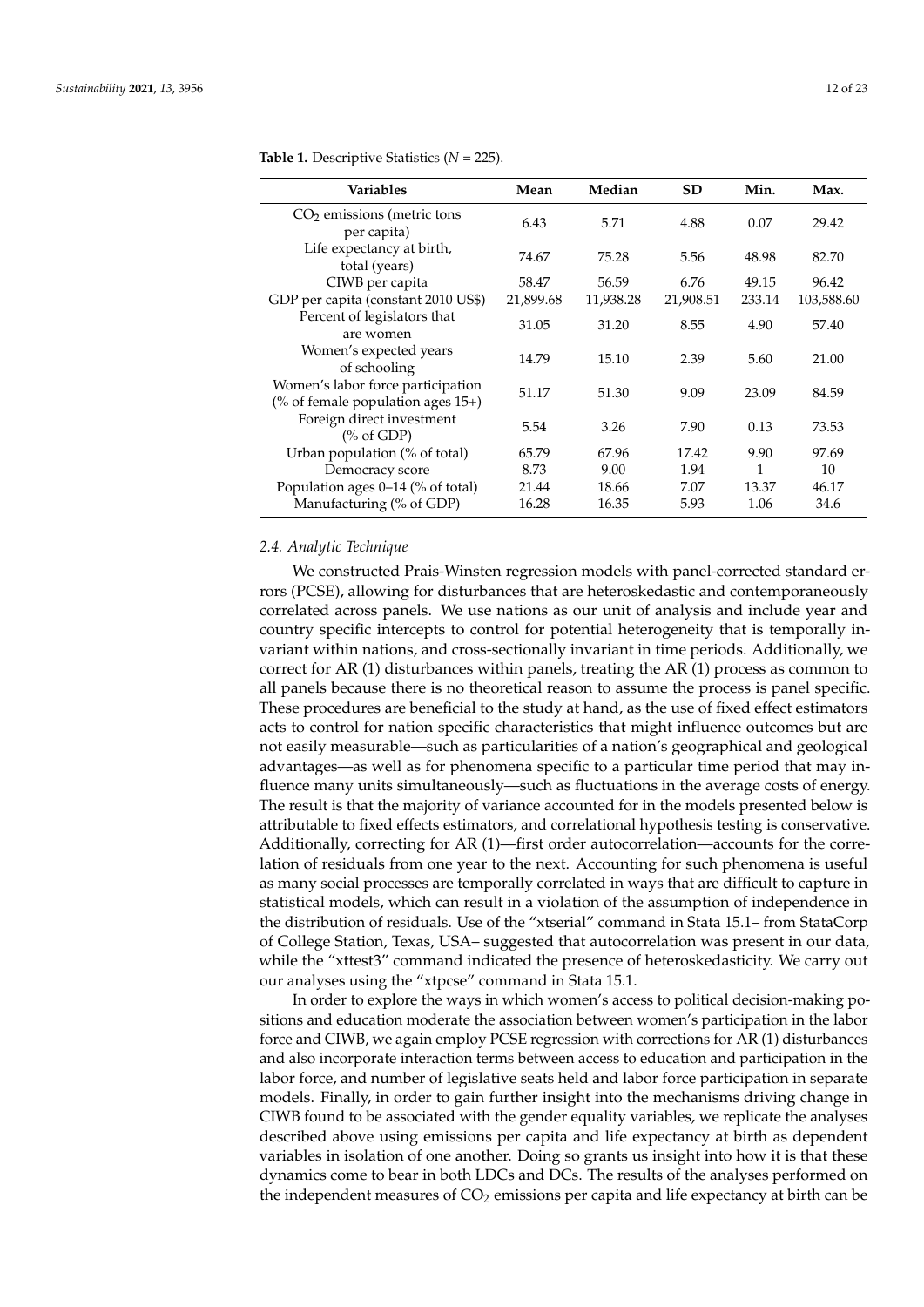| Variables                                                                 | Mean      | Median    | <b>SD</b> | Min.   | Max.       |
|---------------------------------------------------------------------------|-----------|-----------|-----------|--------|------------|
| $CO2$ emissions (metric tons<br>per capita)                               | 6.43      | 5.71      | 4.88      | 0.07   | 29.42      |
| Life expectancy at birth,<br>total (years)                                | 74.67     | 75.28     | 5.56      | 48.98  | 82.70      |
| CIWB per capita                                                           | 58.47     | 56.59     | 6.76      | 49.15  | 96.42      |
| GDP per capita (constant 2010 US\$)                                       | 21,899.68 | 11,938.28 | 21,908.51 | 233.14 | 103,588.60 |
| Percent of legislators that<br>are women                                  | 31.05     | 31.20     | 8.55      | 4.90   | 57.40      |
| Women's expected years<br>of schooling                                    | 14.79     | 15.10     | 2.39      | 5.60   | 21.00      |
| Women's labor force participation<br>(% of female population ages $15+$ ) | 51.17     | 51.30     | 9.09      | 23.09  | 84.59      |
| Foreign direct investment<br>$\frac{9}{6}$ of GDP)                        | 5.54      | 3.26      | 7.90      | 0.13   | 73.53      |
| Urban population (% of total)                                             | 65.79     | 67.96     | 17.42     | 9.90   | 97.69      |
| Democracy score                                                           | 8.73      | 9.00      | 1.94      | 1      | 10         |
| Population ages 0–14 (% of total)                                         | 21.44     | 18.66     | 7.07      | 13.37  | 46.17      |
| Manufacturing (% of GDP)                                                  | 16.28     | 16.35     | 5.93      | 1.06   | 34.6       |

<span id="page-11-0"></span>**Table 1.** Descriptive Statistics (*N* = 225).

## *2.4. Analytic Technique*

We constructed Prais-Winsten regression models with panel-corrected standard errors (PCSE), allowing for disturbances that are heteroskedastic and contemporaneously correlated across panels. We use nations as our unit of analysis and include year and country specific intercepts to control for potential heterogeneity that is temporally invariant within nations, and cross-sectionally invariant in time periods. Additionally, we correct for AR (1) disturbances within panels, treating the AR (1) process as common to all panels because there is no theoretical reason to assume the process is panel specific. These procedures are beneficial to the study at hand, as the use of fixed effect estimators acts to control for nation specific characteristics that might influence outcomes but are not easily measurable—such as particularities of a nation's geographical and geological advantages—as well as for phenomena specific to a particular time period that may influence many units simultaneously—such as fluctuations in the average costs of energy. The result is that the majority of variance accounted for in the models presented below is attributable to fixed effects estimators, and correlational hypothesis testing is conservative. Additionally, correcting for AR (1)—first order autocorrelation—accounts for the correlation of residuals from one year to the next. Accounting for such phenomena is useful as many social processes are temporally correlated in ways that are difficult to capture in statistical models, which can result in a violation of the assumption of independence in the distribution of residuals. Use of the "xtserial" command in Stata 15.1– from StataCorp of College Station, Texas, USA– suggested that autocorrelation was present in our data, while the "xttest3" command indicated the presence of heteroskedasticity. We carry out our analyses using the "xtpcse" command in Stata 15.1.

In order to explore the ways in which women's access to political decision-making positions and education moderate the association between women's participation in the labor force and CIWB, we again employ PCSE regression with corrections for AR (1) disturbances and also incorporate interaction terms between access to education and participation in the labor force, and number of legislative seats held and labor force participation in separate models. Finally, in order to gain further insight into the mechanisms driving change in CIWB found to be associated with the gender equality variables, we replicate the analyses described above using emissions per capita and life expectancy at birth as dependent variables in isolation of one another. Doing so grants us insight into how it is that these dynamics come to bear in both LDCs and DCs. The results of the analyses performed on the independent measures of  $CO<sub>2</sub>$  emissions per capita and life expectancy at birth can be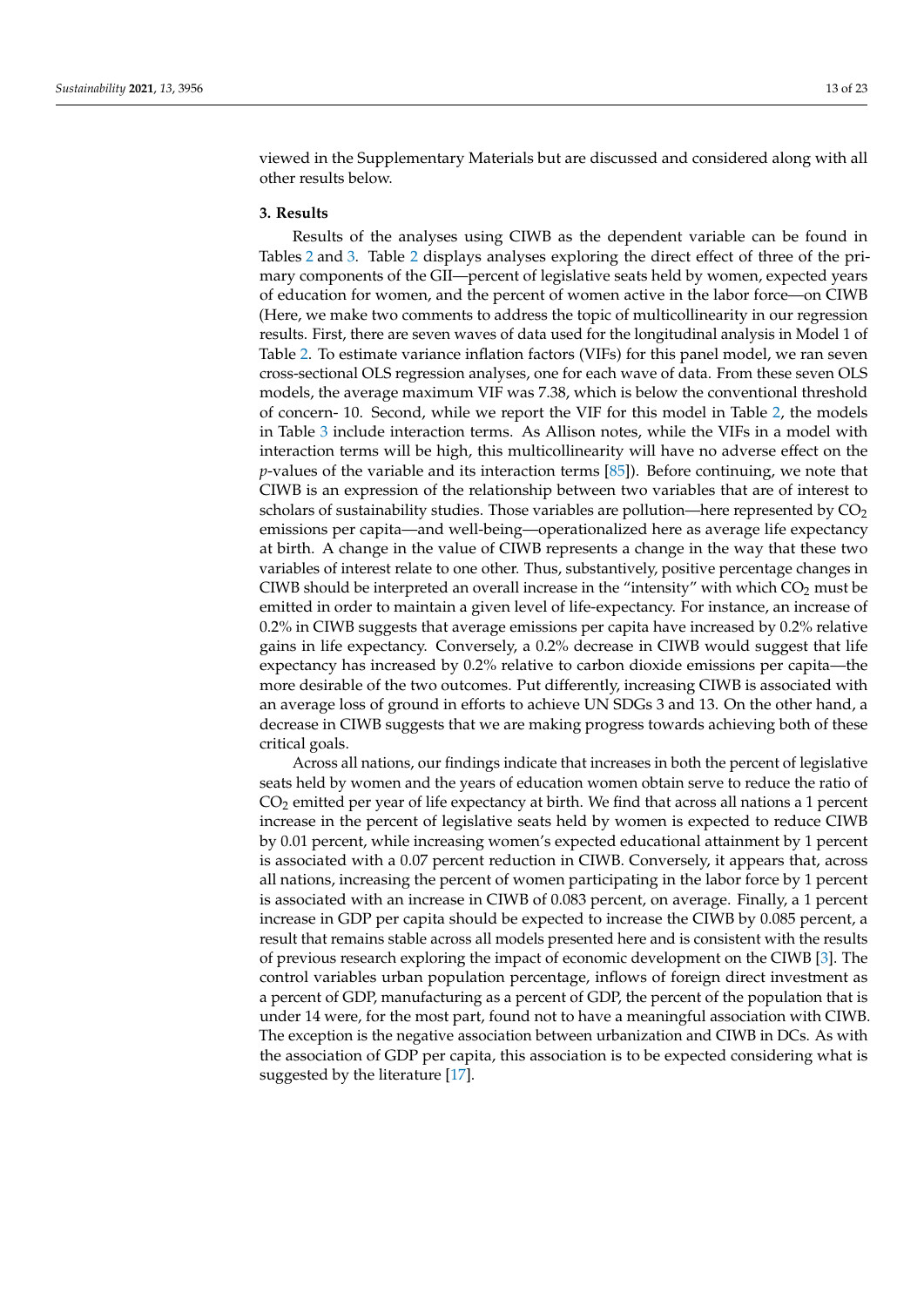viewed in the Supplementary Materials but are discussed and considered along with all other results below.

## **3. Results**

Results of the analyses using CIWB as the dependent variable can be found in Tables [2](#page-13-0) and [3.](#page-14-0) Table [2](#page-13-0) displays analyses exploring the direct effect of three of the primary components of the GII—percent of legislative seats held by women, expected years of education for women, and the percent of women active in the labor force—on CIWB (Here, we make two comments to address the topic of multicollinearity in our regression results. First, there are seven waves of data used for the longitudinal analysis in Model 1 of Table [2.](#page-13-0) To estimate variance inflation factors (VIFs) for this panel model, we ran seven cross-sectional OLS regression analyses, one for each wave of data. From these seven OLS models, the average maximum VIF was 7.38, which is below the conventional threshold of concern- 10. Second, while we report the VIF for this model in Table [2,](#page-13-0) the models in Table [3](#page-14-0) include interaction terms. As Allison notes, while the VIFs in a model with interaction terms will be high, this multicollinearity will have no adverse effect on the *p*-values of the variable and its interaction terms [\[85\]](#page-22-21)). Before continuing, we note that CIWB is an expression of the relationship between two variables that are of interest to scholars of sustainability studies. Those variables are pollution—here represented by  $CO<sub>2</sub>$ emissions per capita—and well-being—operationalized here as average life expectancy at birth. A change in the value of CIWB represents a change in the way that these two variables of interest relate to one other. Thus, substantively, positive percentage changes in CIWB should be interpreted an overall increase in the "intensity" with which  $CO<sub>2</sub>$  must be emitted in order to maintain a given level of life-expectancy. For instance, an increase of 0.2% in CIWB suggests that average emissions per capita have increased by 0.2% relative gains in life expectancy. Conversely, a 0.2% decrease in CIWB would suggest that life expectancy has increased by 0.2% relative to carbon dioxide emissions per capita—the more desirable of the two outcomes. Put differently, increasing CIWB is associated with an average loss of ground in efforts to achieve UN SDGs 3 and 13. On the other hand, a decrease in CIWB suggests that we are making progress towards achieving both of these critical goals.

Across all nations, our findings indicate that increases in both the percent of legislative seats held by women and the years of education women obtain serve to reduce the ratio of CO<sup>2</sup> emitted per year of life expectancy at birth. We find that across all nations a 1 percent increase in the percent of legislative seats held by women is expected to reduce CIWB by 0.01 percent, while increasing women's expected educational attainment by 1 percent is associated with a 0.07 percent reduction in CIWB. Conversely, it appears that, across all nations, increasing the percent of women participating in the labor force by 1 percent is associated with an increase in CIWB of 0.083 percent, on average. Finally, a 1 percent increase in GDP per capita should be expected to increase the CIWB by 0.085 percent, a result that remains stable across all models presented here and is consistent with the results of previous research exploring the impact of economic development on the CIWB [\[3\]](#page-20-2). The control variables urban population percentage, inflows of foreign direct investment as a percent of GDP, manufacturing as a percent of GDP, the percent of the population that is under 14 were, for the most part, found not to have a meaningful association with CIWB. The exception is the negative association between urbanization and CIWB in DCs. As with the association of GDP per capita, this association is to be expected considering what is suggested by the literature [\[17\]](#page-20-14).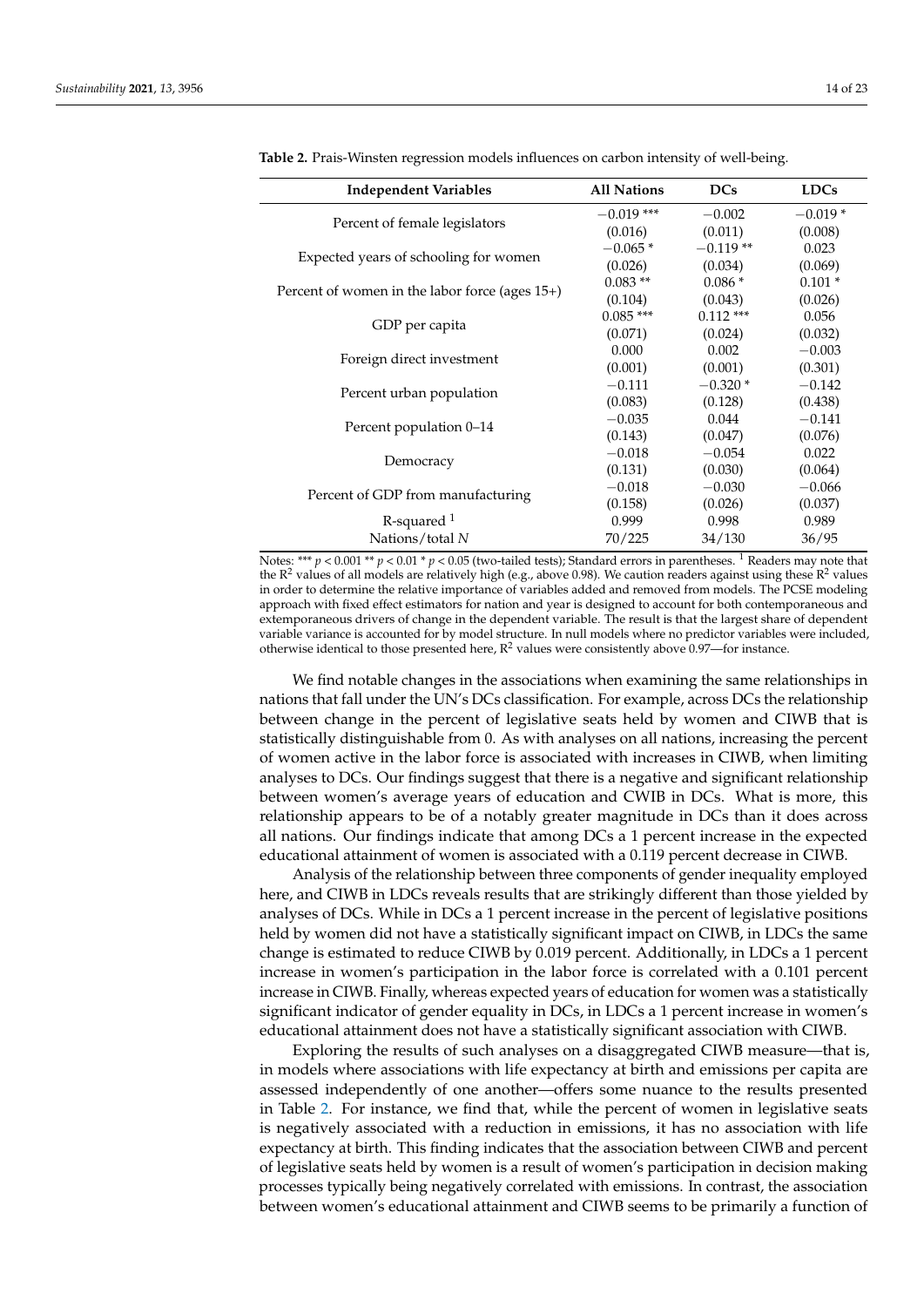| <b>Independent Variables</b>                      | <b>All Nations</b> | <b>DCs</b>  | <b>LDCs</b> |
|---------------------------------------------------|--------------------|-------------|-------------|
|                                                   | $-0.019$ ***       | $-0.002$    | $-0.019*$   |
| Percent of female legislators                     | (0.016)            | (0.011)     | (0.008)     |
|                                                   | $-0.065*$          | $-0.119**$  | 0.023       |
| Expected years of schooling for women             | (0.026)            | (0.034)     | (0.069)     |
|                                                   | $0.083**$          | $0.086*$    | $0.101*$    |
| Percent of women in the labor force (ages $15+$ ) | (0.104)            | (0.043)     | (0.026)     |
|                                                   | $0.085***$         | $0.112$ *** | 0.056       |
| GDP per capita                                    | (0.071)            | (0.024)     | (0.032)     |
|                                                   | 0.000              | 0.002       | $-0.003$    |
| Foreign direct investment                         | (0.001)            | (0.001)     | (0.301)     |
|                                                   | $-0.111$           | $-0.320*$   | $-0.142$    |
| Percent urban population                          | (0.083)            | (0.128)     | (0.438)     |
|                                                   | $-0.035$           | 0.044       | $-0.141$    |
| Percent population 0–14                           | (0.143)            | (0.047)     | (0.076)     |
|                                                   | $-0.018$           | $-0.054$    | 0.022       |
| Democracy                                         | (0.131)            | (0.030)     | (0.064)     |
| Percent of GDP from manufacturing                 | $-0.018$           | $-0.030$    | $-0.066$    |
|                                                   | (0.158)            | (0.026)     | (0.037)     |
| $R$ -squared $1$                                  | 0.999              | 0.998       | 0.989       |
| Nations/total N                                   | 70/225             | 34/130      | 36/95       |

<span id="page-13-0"></span>**Table 2.** Prais-Winsten regression models influences on carbon intensity of well-being.

Notes: \*\*\*  $p < 0.001$  \*\*  $p < 0.01$  \*  $p < 0.05$  (two-tailed tests); Standard errors in parentheses. <sup>1</sup> Readers may note that the  $R^2$  values of all models are relatively high (e.g., above 0.98). We caution readers against using these  $R^2$  values in order to determine the relative importance of variables added and removed from models. The PCSE modeling approach with fixed effect estimators for nation and year is designed to account for both contemporaneous and extemporaneous drivers of change in the dependent variable. The result is that the largest share of dependent variable variance is accounted for by model structure. In null models where no predictor variables were included, otherwise identical to those presented here,  $R^2$  values were consistently above 0.97—for instance.

We find notable changes in the associations when examining the same relationships in nations that fall under the UN's DCs classification. For example, across DCs the relationship between change in the percent of legislative seats held by women and CIWB that is statistically distinguishable from 0. As with analyses on all nations, increasing the percent of women active in the labor force is associated with increases in CIWB, when limiting analyses to DCs. Our findings suggest that there is a negative and significant relationship between women's average years of education and CWIB in DCs. What is more, this relationship appears to be of a notably greater magnitude in DCs than it does across all nations. Our findings indicate that among DCs a 1 percent increase in the expected educational attainment of women is associated with a 0.119 percent decrease in CIWB.

Analysis of the relationship between three components of gender inequality employed here, and CIWB in LDCs reveals results that are strikingly different than those yielded by analyses of DCs. While in DCs a 1 percent increase in the percent of legislative positions held by women did not have a statistically significant impact on CIWB, in LDCs the same change is estimated to reduce CIWB by 0.019 percent. Additionally, in LDCs a 1 percent increase in women's participation in the labor force is correlated with a 0.101 percent increase in CIWB. Finally, whereas expected years of education for women was a statistically significant indicator of gender equality in DCs, in LDCs a 1 percent increase in women's educational attainment does not have a statistically significant association with CIWB.

Exploring the results of such analyses on a disaggregated CIWB measure—that is, in models where associations with life expectancy at birth and emissions per capita are assessed independently of one another—offers some nuance to the results presented in Table [2.](#page-13-0) For instance, we find that, while the percent of women in legislative seats is negatively associated with a reduction in emissions, it has no association with life expectancy at birth. This finding indicates that the association between CIWB and percent of legislative seats held by women is a result of women's participation in decision making processes typically being negatively correlated with emissions. In contrast, the association between women's educational attainment and CIWB seems to be primarily a function of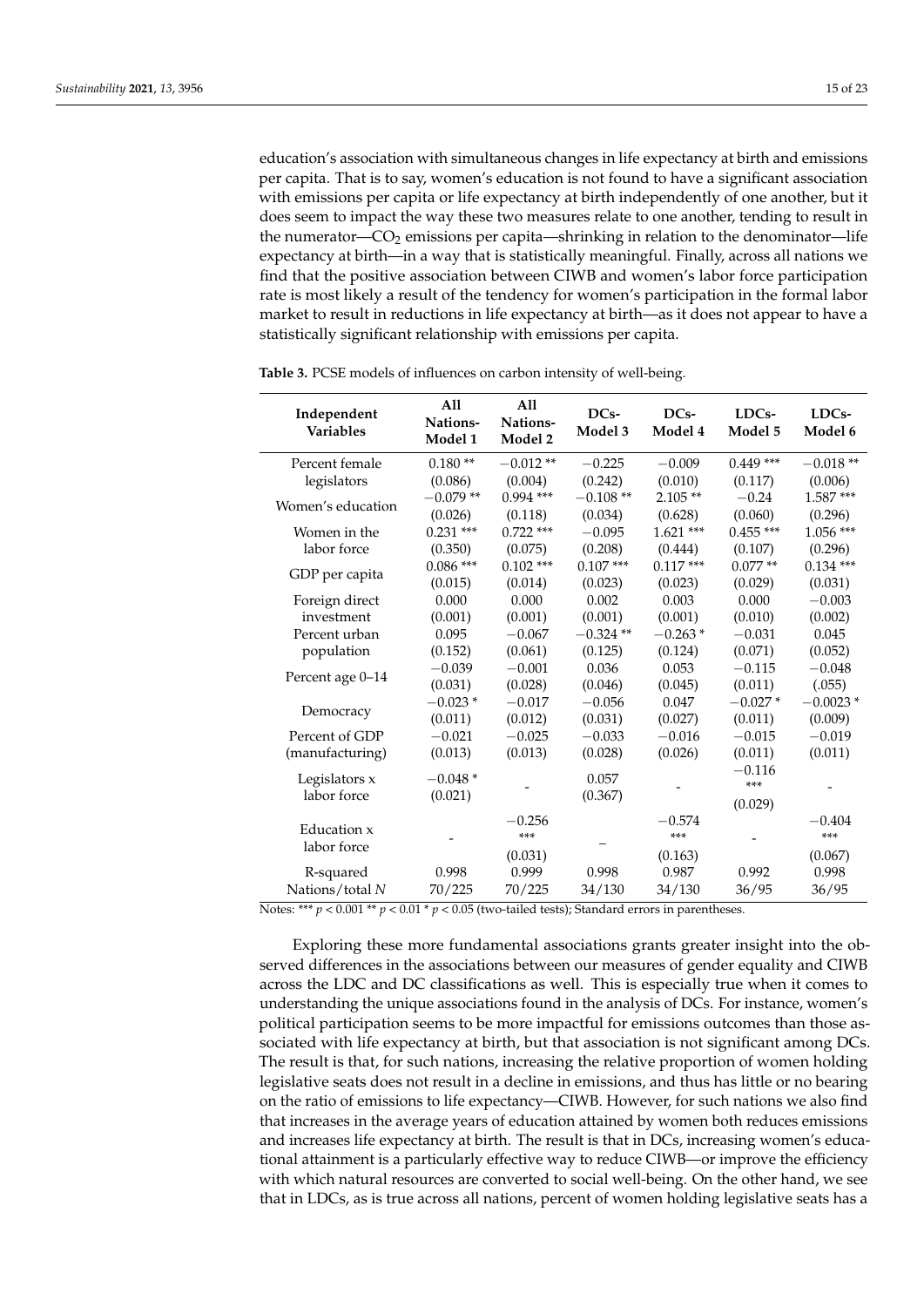education's association with simultaneous changes in life expectancy at birth and emissions per capita. That is to say, women's education is not found to have a significant association with emissions per capita or life expectancy at birth independently of one another, but it does seem to impact the way these two measures relate to one another, tending to result in the numerator— $CO<sub>2</sub>$  emissions per capita—shrinking in relation to the denominator—life expectancy at birth—in a way that is statistically meaningful. Finally, across all nations we find that the positive association between CIWB and women's labor force participation rate is most likely a result of the tendency for women's participation in the formal labor market to result in reductions in life expectancy at birth—as it does not appear to have a statistically significant relationship with emissions per capita.

| Independent<br><b>Variables</b> | All<br>Nations-<br>Model 1 | A11<br>Nations-<br>Model 2 | DC <sub>s</sub> -<br>Model 3 | DC <sub>s</sub> -<br>Model 4 | LDC <sub>s</sub> -<br>Model 5 | LDC <sub>s</sub> -<br>Model 6 |
|---------------------------------|----------------------------|----------------------------|------------------------------|------------------------------|-------------------------------|-------------------------------|
| Percent female                  | $0.180**$                  | $-0.012**$                 | $-0.225$                     | $-0.009$                     | $0.449$ ***                   | $-0.018**$                    |
| legislators                     | (0.086)                    | (0.004)                    | (0.242)                      | (0.010)                      | (0.117)                       | (0.006)                       |
| Women's education               | $-0.079**$                 | $0.994$ ***                | $-0.108**$                   | $2.105**$                    | $-0.24$                       | $1.587***$                    |
|                                 | (0.026)                    | (0.118)                    | (0.034)                      | (0.628)                      | (0.060)                       | (0.296)                       |
| Women in the                    | $0.231$ ***                | $0.722$ ***                | $-0.095$                     | $1.621$ ***                  | $0.455***$                    | $1.056$ ***                   |
| labor force                     | (0.350)                    | (0.075)                    | (0.208)                      | (0.444)                      | (0.107)                       | (0.296)                       |
| GDP per capita                  | $0.086$ ***                | $0.102$ ***                | $0.107$ ***                  | $0.117***$                   | $0.077**$                     | $0.134$ ***                   |
|                                 | (0.015)                    | (0.014)                    | (0.023)                      | (0.023)                      | (0.029)                       | (0.031)                       |
| Foreign direct                  | 0.000                      | 0.000                      | 0.002                        | 0.003                        | 0.000                         | $-0.003$                      |
| investment                      | (0.001)                    | (0.001)                    | (0.001)                      | (0.001)                      | (0.010)                       | (0.002)                       |
| Percent urban                   | 0.095                      | $-0.067$                   | $-0.324**$                   | $-0.263*$                    | $-0.031$                      | 0.045                         |
| population                      | (0.152)                    | (0.061)                    | (0.125)                      | (0.124)                      | (0.071)                       | (0.052)                       |
| Percent age 0-14                | $-0.039$                   | $-0.001$                   | 0.036                        | 0.053                        | $-0.115$                      | $-0.048$                      |
|                                 | (0.031)                    | (0.028)                    | (0.046)                      | (0.045)                      | (0.011)                       | (.055)                        |
| Democracy                       | $-0.023*$                  | $-0.017$                   | $-0.056$                     | 0.047                        | $-0.027*$                     | $-0.0023*$                    |
|                                 | (0.011)                    | (0.012)                    | (0.031)                      | (0.027)                      | (0.011)                       | (0.009)                       |
| Percent of GDP                  | $-0.021$                   | $-0.025$                   | $-0.033$                     | $-0.016$                     | $-0.015$                      | $-0.019$                      |
| (manufacturing)                 | (0.013)                    | (0.013)                    | (0.028)                      | (0.026)                      | (0.011)                       | (0.011)                       |
| Legislators x                   | $-0.048*$                  |                            | 0.057                        |                              | $-0.116$                      |                               |
| labor force                     | (0.021)                    |                            | (0.367)                      |                              | $***$                         |                               |
|                                 |                            |                            |                              |                              | (0.029)                       |                               |
| Education x<br>labor force      |                            | $-0.256$                   |                              | $-0.574$                     |                               | $-0.404$                      |
|                                 |                            | ***                        |                              | ***                          |                               | ***                           |
|                                 |                            | (0.031)                    |                              | (0.163)                      |                               | (0.067)                       |
| R-squared                       | 0.998                      | 0.999                      | 0.998                        | 0.987                        | 0.992                         | 0.998                         |
| Nations/total N                 | 70/225                     | 70/225                     | 34/130                       | 34/130                       | 36/95                         | 36/95                         |

<span id="page-14-0"></span>**Table 3.** PCSE models of influences on carbon intensity of well-being.

Notes: \*\*\*  $p < 0.001$  \*\*  $p < 0.01$  \*  $p < 0.05$  (two-tailed tests); Standard errors in parentheses.

Exploring these more fundamental associations grants greater insight into the observed differences in the associations between our measures of gender equality and CIWB across the LDC and DC classifications as well. This is especially true when it comes to understanding the unique associations found in the analysis of DCs. For instance, women's political participation seems to be more impactful for emissions outcomes than those associated with life expectancy at birth, but that association is not significant among DCs. The result is that, for such nations, increasing the relative proportion of women holding legislative seats does not result in a decline in emissions, and thus has little or no bearing on the ratio of emissions to life expectancy—CIWB. However, for such nations we also find that increases in the average years of education attained by women both reduces emissions and increases life expectancy at birth. The result is that in DCs, increasing women's educational attainment is a particularly effective way to reduce CIWB—or improve the efficiency with which natural resources are converted to social well-being. On the other hand, we see that in LDCs, as is true across all nations, percent of women holding legislative seats has a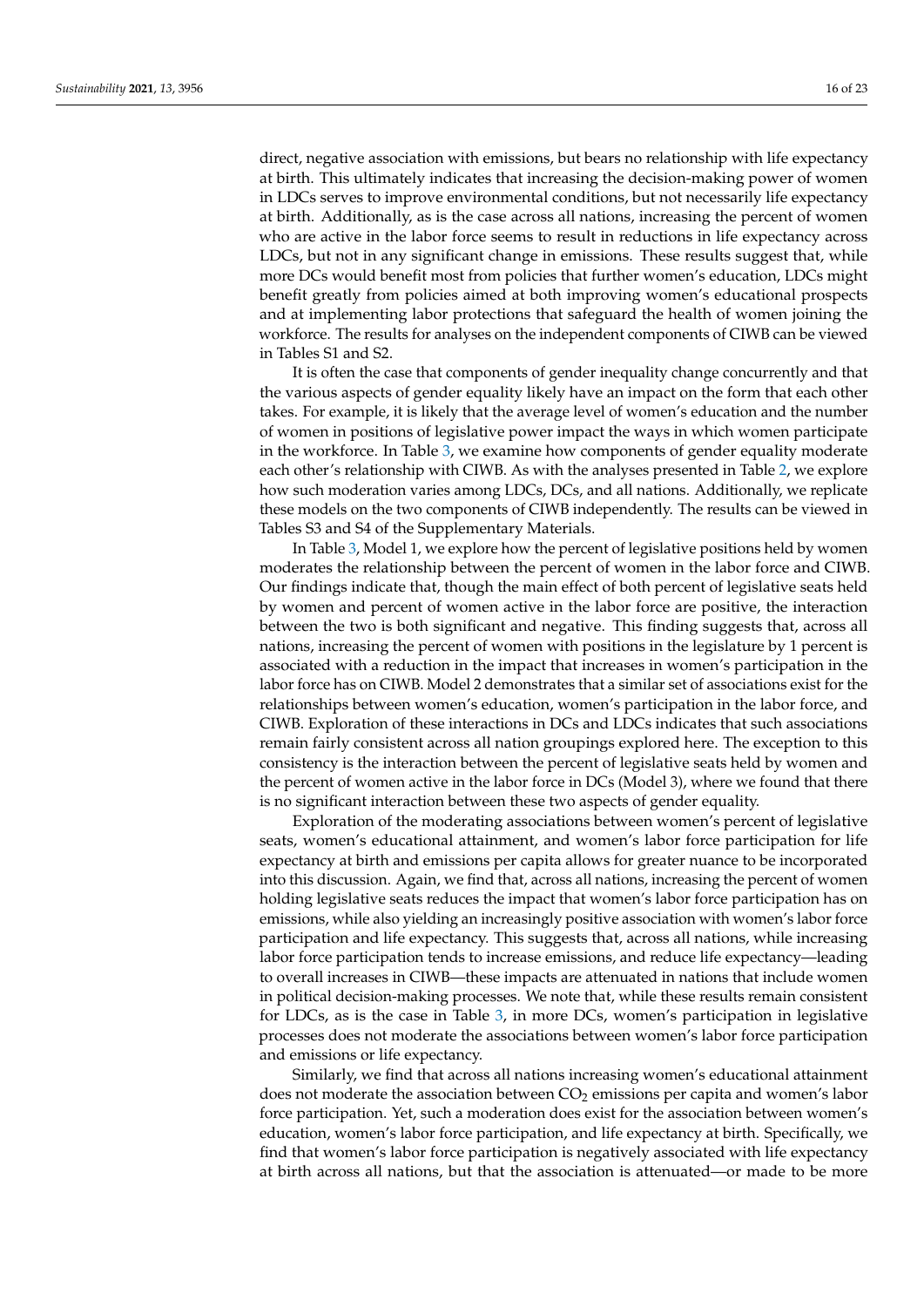in LDCs serves to improve environmental conditions, but not necessarily life expectancy at birth. Additionally, as is the case across all nations, increasing the percent of women who are active in the labor force seems to result in reductions in life expectancy across LDCs, but not in any significant change in emissions. These results suggest that, while more DCs would benefit most from policies that further women's education, LDCs might benefit greatly from policies aimed at both improving women's educational prospects and at implementing labor protections that safeguard the health of women joining the workforce. The results for analyses on the independent components of CIWB can be viewed in Tables S1 and S2.

It is often the case that components of gender inequality change concurrently and that the various aspects of gender equality likely have an impact on the form that each other takes. For example, it is likely that the average level of women's education and the number of women in positions of legislative power impact the ways in which women participate in the workforce. In Table [3,](#page-14-0) we examine how components of gender equality moderate each other's relationship with CIWB. As with the analyses presented in Table [2,](#page-13-0) we explore how such moderation varies among LDCs, DCs, and all nations. Additionally, we replicate these models on the two components of CIWB independently. The results can be viewed in Tables S3 and S4 of the Supplementary Materials.

In Table [3,](#page-14-0) Model 1, we explore how the percent of legislative positions held by women moderates the relationship between the percent of women in the labor force and CIWB. Our findings indicate that, though the main effect of both percent of legislative seats held by women and percent of women active in the labor force are positive, the interaction between the two is both significant and negative. This finding suggests that, across all nations, increasing the percent of women with positions in the legislature by 1 percent is associated with a reduction in the impact that increases in women's participation in the labor force has on CIWB. Model 2 demonstrates that a similar set of associations exist for the relationships between women's education, women's participation in the labor force, and CIWB. Exploration of these interactions in DCs and LDCs indicates that such associations remain fairly consistent across all nation groupings explored here. The exception to this consistency is the interaction between the percent of legislative seats held by women and the percent of women active in the labor force in DCs (Model 3), where we found that there is no significant interaction between these two aspects of gender equality.

Exploration of the moderating associations between women's percent of legislative seats, women's educational attainment, and women's labor force participation for life expectancy at birth and emissions per capita allows for greater nuance to be incorporated into this discussion. Again, we find that, across all nations, increasing the percent of women holding legislative seats reduces the impact that women's labor force participation has on emissions, while also yielding an increasingly positive association with women's labor force participation and life expectancy. This suggests that, across all nations, while increasing labor force participation tends to increase emissions, and reduce life expectancy—leading to overall increases in CIWB—these impacts are attenuated in nations that include women in political decision-making processes. We note that, while these results remain consistent for LDCs, as is the case in Table [3,](#page-14-0) in more DCs, women's participation in legislative processes does not moderate the associations between women's labor force participation and emissions or life expectancy.

Similarly, we find that across all nations increasing women's educational attainment does not moderate the association between  $CO<sub>2</sub>$  emissions per capita and women's labor force participation. Yet, such a moderation does exist for the association between women's education, women's labor force participation, and life expectancy at birth. Specifically, we find that women's labor force participation is negatively associated with life expectancy at birth across all nations, but that the association is attenuated—or made to be more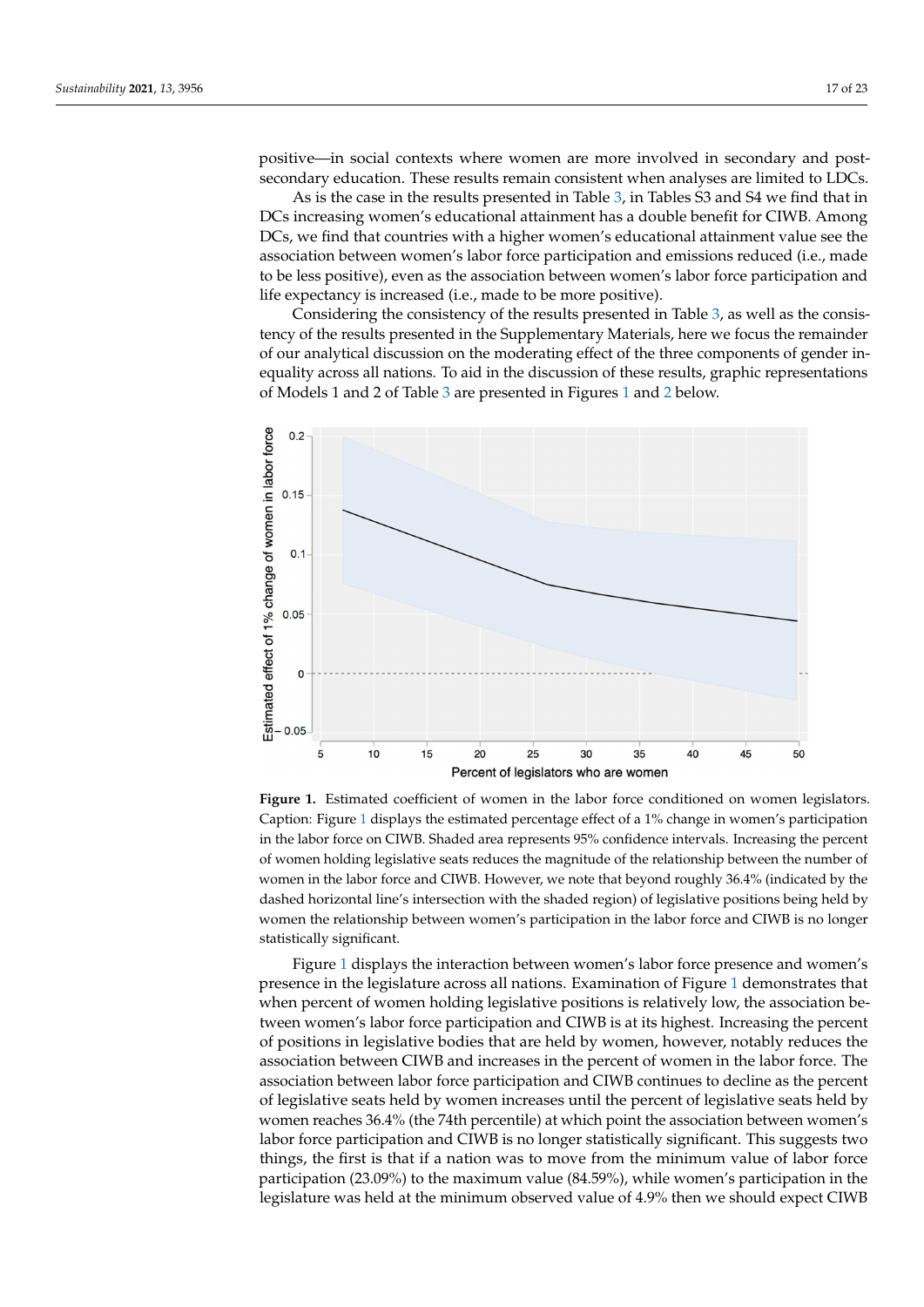positive—in social contexts where women are more involved in secondary and postsecondary education. These results remain consistent when analyses are limited to LDCs.

As is the case in the results presented in Table [3,](#page-14-0) in Tables S3 and S4 we find that in DCs increasing women's educational attainment has a double benefit for CIWB. Among DCs, we find that countries with a higher women's educational attainment value see the association between women's labor force participation and emissions reduced (i.e., made to be less positive), even as the association between women's labor force participation and life expectancy is increased (i.e., made to be more positive).

Considering the consistency of the results presented in Table [3,](#page-14-0) as well as the consistency of the results presented in the Supplementary Materials, here we focus the remainder of our analytical discussion on the moderating effect of the three components of gender inequality across all nations. To aid in the discussion of these results, graphic representations of Models 1 and 2 of Table [3](#page-14-0) are presented in Figures [1](#page-16-0) and [2](#page-17-0) below.

<span id="page-16-0"></span>

Caption: Figure 1 displays the estimated percentage effect of a 1% change in women's participation in the labor force on CIWB. Shaded area represents 95% confidence intervals. Increasing the percent of women holding legislative seats reduces the magnitude of the relationship between the number of women in the labor force and CIWB. However, we note that beyond roughly 36.4% (indicated by the dashed horizontal line's intersection with the shaded region) of legislative positions being held by  $\mathbf{u}$  the dashed horizontal line's intersection with the shaded region) of legislative positive positive positive positive posiwomen the relationship between women's participation in the labor force and CIWB is no longer statistically significant. **Figure 1.** Estimated coefficient of women in the labor force conditioned on women legislators.

Figure [1](#page-16-0) displays the interaction between women's labor force presence and women's presence in the legislature across all nations. Examination of Figure [1](#page-16-0) demonstrates that when percent of women holding legislative positions is relatively low, the association between women's labor force participation and CIWB is at its highest. Increasing the percent of positions in legislative bodies that are held by women, however, notably reduces the association between CIWB and increases in the percent of women in the labor force. The association between labor force participation and CIWB continues to decline as the percent of legislative seats held by women increases until the percent of legislative seats held by women reaches 36.4% (the 74th percentile) at which point the association between women's labor force participation and CIWB is no longer statistically significant. This suggests two things, the first is that if a nation was to move from the minimum value of labor force participation (23.09%) to the maximum value (84.59%), while women's participation in the legislature was held at the minimum observed value of 4.9% then we should expect CIWB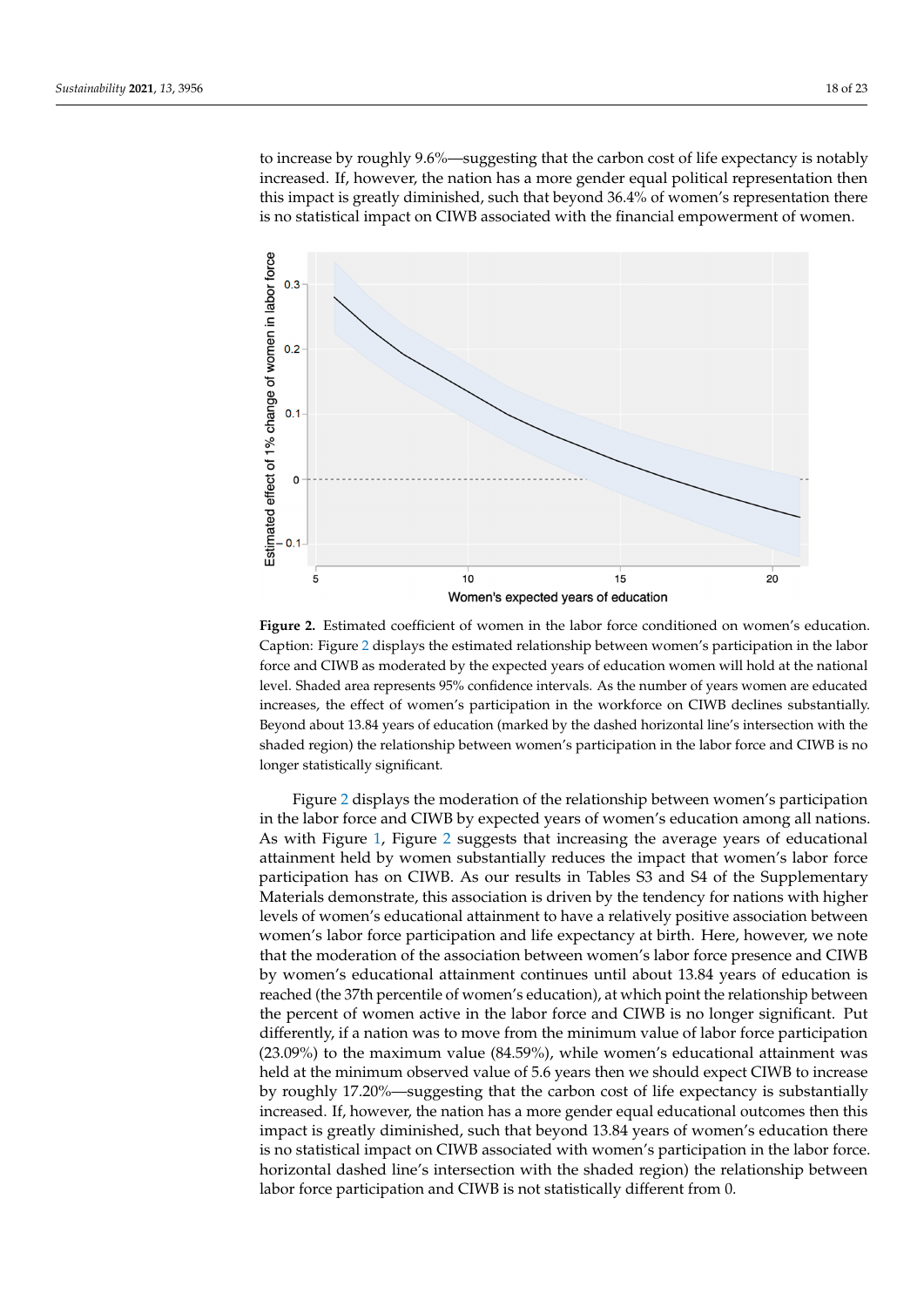to increase by roughly 9.6%—suggesting that the carbon cost of life expectancy is notably increased. If, however, the nation has a more gender equal political representation then this impact is greatly diminished, such that beyond 36.4% of women's representation there is no statistical impact on CIWB associated with the financial empowerment of women.

 $\mathcal{L}_{\mathcal{A}}$  displays the estimated percentage effect of a 1% change in women's participa-

<span id="page-17-0"></span>

Caption: Figure 2 displays the estimated relationship between women's participation in the labor force and CIWB as moderated by the expected years of education women will hold at the national level. Shaded area represents 95% confidence intervals. As the number of years women are educated increases, the effect of women's participation in the workforce on CIWB declines substantially. Beyond about 13.84 years of education (marked by the dashed horizontal line's intersection with the tially. Beyond about 13.84 years of education (marked by the dashed horizontal line's intersection shaded region) the relationship between women's participation in the labor force and CIWB is no **Figure 2.** Estimated coefficient of women in the labor force conditioned on women's education. longer statistically significant.

Figure [2](#page-17-0) displays the moderation of the relationship between women's participation in the labor force and CIWB by expected years of women's education among all nations. As with Figure [1,](#page-16-0) Figure [2](#page-17-0) suggests that increasing the average years of educational attainment held by women substantially reduces the impact that women's labor force participation has on CIWB. As our results in Tables S3 and S4 of the Supplementary Materials demonstrate, this association is driven by the tendency for nations with higher levels of women's educational attainment to have a relatively positive association between women's labor force participation and life expectancy at birth. Here, however, we note that the moderation of the association between women's labor force presence and CIWB by women's educational attainment continues until about 13.84 years of education is reached (the 37th percentile of women's education), at which point the relationship between the percent of women active in the labor force and CIWB is no longer significant. Put differently, if a nation was to move from the minimum value of labor force participation (23.09%) to the maximum value (84.59%), while women's educational attainment was held at the minimum observed value of 5.6 years then we should expect CIWB to increase by roughly 17.20%—suggesting that the carbon cost of life expectancy is substantially increased. If, however, the nation has a more gender equal educational outcomes then this impact is greatly diminished, such that beyond 13.84 years of women's education there is no statistical impact on CIWB associated with women's participation in the labor force. horizontal dashed line's intersection with the shaded region) the relationship between labor force participation and CIWB is not statistically different from 0.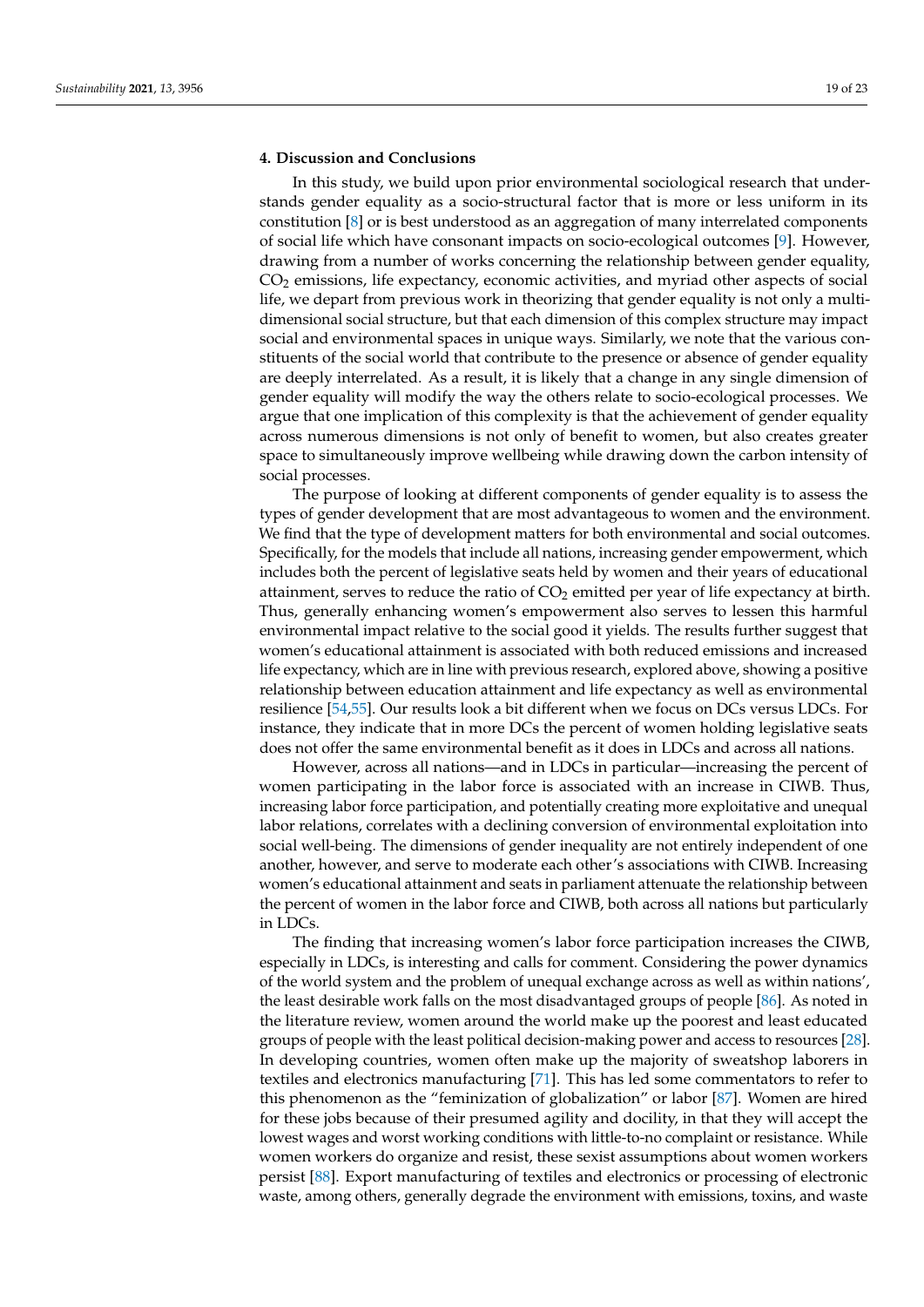## **4. Discussion and Conclusions**

In this study, we build upon prior environmental sociological research that understands gender equality as a socio-structural factor that is more or less uniform in its constitution [\[8\]](#page-20-7) or is best understood as an aggregation of many interrelated components of social life which have consonant impacts on socio-ecological outcomes [\[9\]](#page-20-8). However, drawing from a number of works concerning the relationship between gender equality,  $CO<sub>2</sub>$  emissions, life expectancy, economic activities, and myriad other aspects of social life, we depart from previous work in theorizing that gender equality is not only a multidimensional social structure, but that each dimension of this complex structure may impact social and environmental spaces in unique ways. Similarly, we note that the various constituents of the social world that contribute to the presence or absence of gender equality are deeply interrelated. As a result, it is likely that a change in any single dimension of gender equality will modify the way the others relate to socio-ecological processes. We argue that one implication of this complexity is that the achievement of gender equality across numerous dimensions is not only of benefit to women, but also creates greater space to simultaneously improve wellbeing while drawing down the carbon intensity of social processes.

The purpose of looking at different components of gender equality is to assess the types of gender development that are most advantageous to women and the environment. We find that the type of development matters for both environmental and social outcomes. Specifically, for the models that include all nations, increasing gender empowerment, which includes both the percent of legislative seats held by women and their years of educational attainment, serves to reduce the ratio of  $CO<sub>2</sub>$  emitted per year of life expectancy at birth. Thus, generally enhancing women's empowerment also serves to lessen this harmful environmental impact relative to the social good it yields. The results further suggest that women's educational attainment is associated with both reduced emissions and increased life expectancy, which are in line with previous research, explored above, showing a positive relationship between education attainment and life expectancy as well as environmental resilience [\[54](#page-21-17)[,55\]](#page-21-18). Our results look a bit different when we focus on DCs versus LDCs. For instance, they indicate that in more DCs the percent of women holding legislative seats does not offer the same environmental benefit as it does in LDCs and across all nations.

However, across all nations—and in LDCs in particular—increasing the percent of women participating in the labor force is associated with an increase in CIWB. Thus, increasing labor force participation, and potentially creating more exploitative and unequal labor relations, correlates with a declining conversion of environmental exploitation into social well-being. The dimensions of gender inequality are not entirely independent of one another, however, and serve to moderate each other's associations with CIWB. Increasing women's educational attainment and seats in parliament attenuate the relationship between the percent of women in the labor force and CIWB, both across all nations but particularly in LDCs.

The finding that increasing women's labor force participation increases the CIWB, especially in LDCs, is interesting and calls for comment. Considering the power dynamics of the world system and the problem of unequal exchange across as well as within nations', the least desirable work falls on the most disadvantaged groups of people [\[86\]](#page-22-22). As noted in the literature review, women around the world make up the poorest and least educated groups of people with the least political decision-making power and access to resources [\[28\]](#page-20-25). In developing countries, women often make up the majority of sweatshop laborers in textiles and electronics manufacturing [\[71\]](#page-22-7). This has led some commentators to refer to this phenomenon as the "feminization of globalization" or labor [\[87\]](#page-22-23). Women are hired for these jobs because of their presumed agility and docility, in that they will accept the lowest wages and worst working conditions with little-to-no complaint or resistance. While women workers do organize and resist, these sexist assumptions about women workers persist [\[88\]](#page-22-24). Export manufacturing of textiles and electronics or processing of electronic waste, among others, generally degrade the environment with emissions, toxins, and waste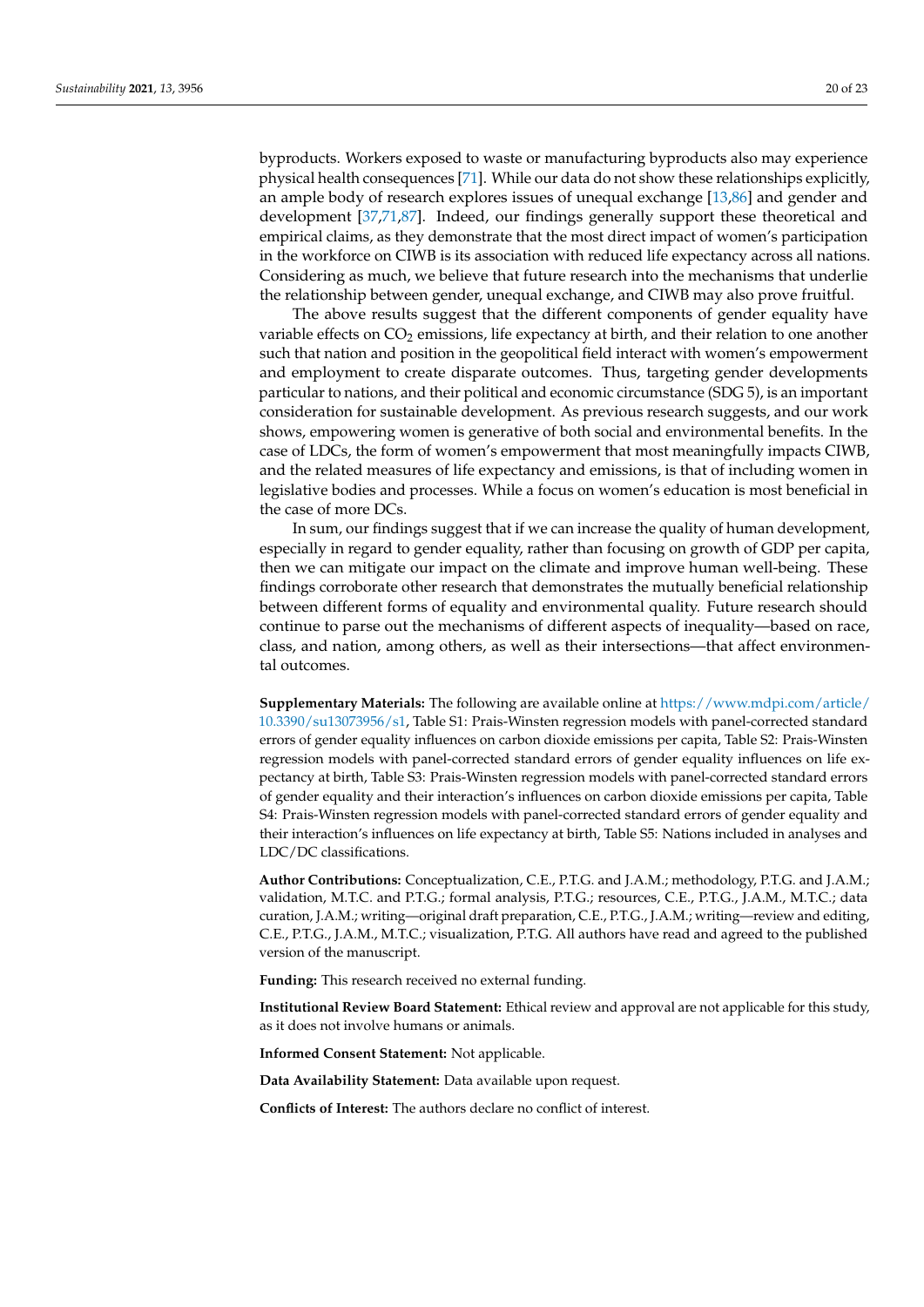byproducts. Workers exposed to waste or manufacturing byproducts also may experience physical health consequences [\[71\]](#page-22-7). While our data do not show these relationships explicitly, an ample body of research explores issues of unequal exchange [\[13,](#page-20-12)[86\]](#page-22-22) and gender and development [\[37,](#page-21-3)[71,](#page-22-7)[87\]](#page-22-23). Indeed, our findings generally support these theoretical and empirical claims, as they demonstrate that the most direct impact of women's participation in the workforce on CIWB is its association with reduced life expectancy across all nations. Considering as much, we believe that future research into the mechanisms that underlie the relationship between gender, unequal exchange, and CIWB may also prove fruitful.

The above results suggest that the different components of gender equality have variable effects on  $CO<sub>2</sub>$  emissions, life expectancy at birth, and their relation to one another such that nation and position in the geopolitical field interact with women's empowerment and employment to create disparate outcomes. Thus, targeting gender developments particular to nations, and their political and economic circumstance (SDG 5), is an important consideration for sustainable development. As previous research suggests, and our work shows, empowering women is generative of both social and environmental benefits. In the case of LDCs, the form of women's empowerment that most meaningfully impacts CIWB, and the related measures of life expectancy and emissions, is that of including women in legislative bodies and processes. While a focus on women's education is most beneficial in the case of more DCs.

In sum, our findings suggest that if we can increase the quality of human development, especially in regard to gender equality, rather than focusing on growth of GDP per capita, then we can mitigate our impact on the climate and improve human well-being. These findings corroborate other research that demonstrates the mutually beneficial relationship between different forms of equality and environmental quality. Future research should continue to parse out the mechanisms of different aspects of inequality—based on race, class, and nation, among others, as well as their intersections—that affect environmental outcomes.

**Supplementary Materials:** The following are available online at [https://www.mdpi.com/article/](https://www.mdpi.com/article/10.3390/su13073956/s1) [10.3390/su13073956/s1,](https://www.mdpi.com/article/10.3390/su13073956/s1) Table S1: Prais-Winsten regression models with panel-corrected standard errors of gender equality influences on carbon dioxide emissions per capita, Table S2: Prais-Winsten regression models with panel-corrected standard errors of gender equality influences on life expectancy at birth, Table S3: Prais-Winsten regression models with panel-corrected standard errors of gender equality and their interaction's influences on carbon dioxide emissions per capita, Table S4: Prais-Winsten regression models with panel-corrected standard errors of gender equality and their interaction's influences on life expectancy at birth, Table S5: Nations included in analyses and LDC/DC classifications.

**Author Contributions:** Conceptualization, C.E., P.T.G. and J.A.M.; methodology, P.T.G. and J.A.M.; validation, M.T.C. and P.T.G.; formal analysis, P.T.G.; resources, C.E., P.T.G., J.A.M., M.T.C.; data curation, J.A.M.; writing—original draft preparation, C.E., P.T.G., J.A.M.; writing—review and editing, C.E., P.T.G., J.A.M., M.T.C.; visualization, P.T.G. All authors have read and agreed to the published version of the manuscript.

**Funding:** This research received no external funding.

**Institutional Review Board Statement:** Ethical review and approval are not applicable for this study, as it does not involve humans or animals.

**Informed Consent Statement:** Not applicable.

**Data Availability Statement:** Data available upon request.

**Conflicts of Interest:** The authors declare no conflict of interest.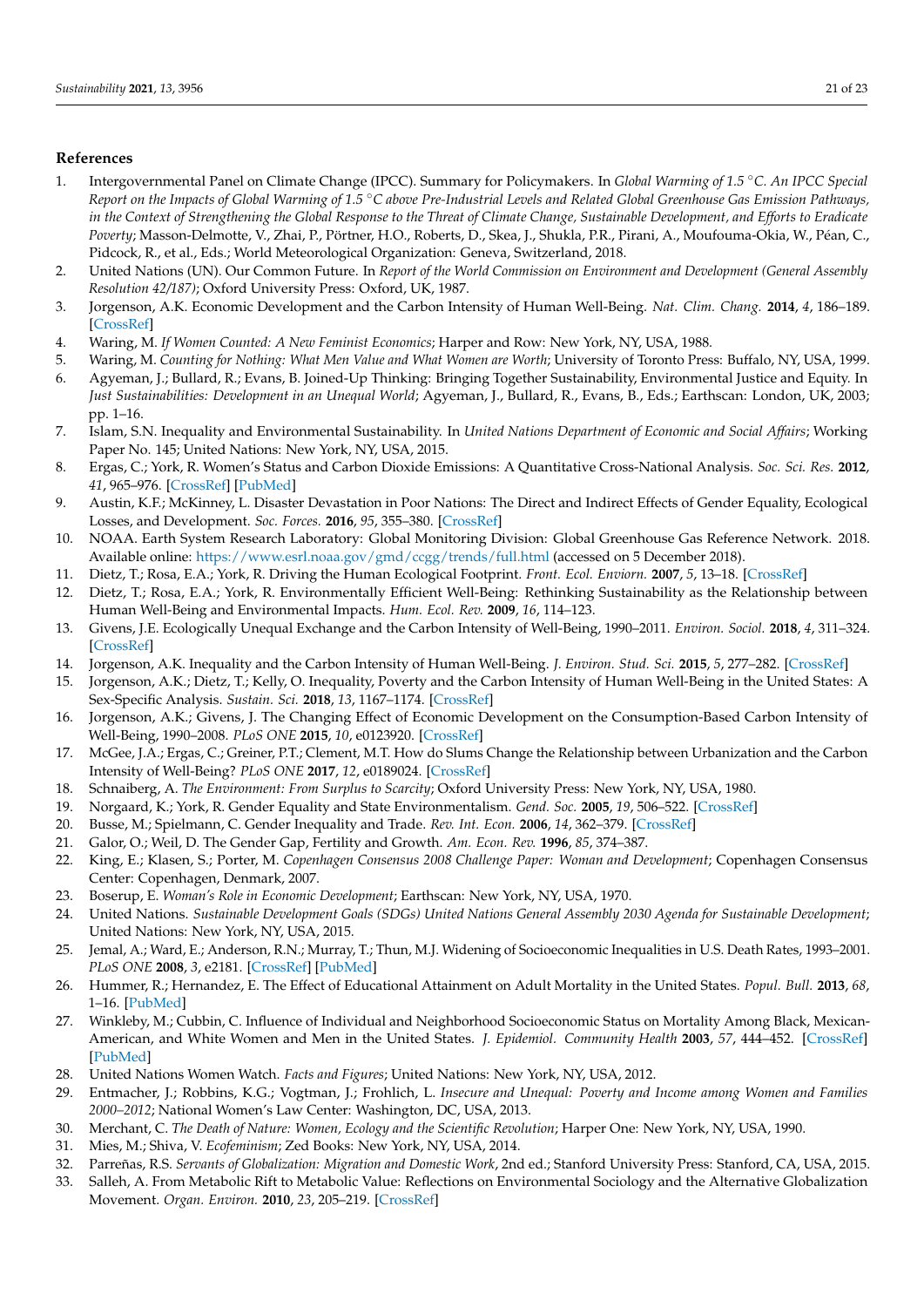## **References**

- <span id="page-20-0"></span>1. Intergovernmental Panel on Climate Change (IPCC). Summary for Policymakers. In *Global Warming of 1.5* ◦*C. An IPCC Special Report on the Impacts of Global Warming of 1.5* ◦*C above Pre-Industrial Levels and Related Global Greenhouse Gas Emission Pathways, in the Context of Strengthening the Global Response to the Threat of Climate Change, Sustainable Development, and Efforts to Eradicate Poverty*; Masson-Delmotte, V., Zhai, P., Pörtner, H.O., Roberts, D., Skea, J., Shukla, P.R., Pirani, A., Moufouma-Okia, W., Péan, C., Pidcock, R., et al., Eds.; World Meteorological Organization: Geneva, Switzerland, 2018.
- <span id="page-20-1"></span>2. United Nations (UN). Our Common Future. In *Report of the World Commission on Environment and Development (General Assembly Resolution 42/187)*; Oxford University Press: Oxford, UK, 1987.
- <span id="page-20-2"></span>3. Jorgenson, A.K. Economic Development and the Carbon Intensity of Human Well-Being. *Nat. Clim. Chang.* **2014**, *4*, 186–189. [\[CrossRef\]](http://doi.org/10.1038/nclimate2110)
- <span id="page-20-3"></span>4. Waring, M. *If Women Counted: A New Feminist Economics*; Harper and Row: New York, NY, USA, 1988.
- <span id="page-20-4"></span>5. Waring, M. *Counting for Nothing: What Men Value and What Women are Worth*; University of Toronto Press: Buffalo, NY, USA, 1999.
- <span id="page-20-5"></span>6. Agyeman, J.; Bullard, R.; Evans, B. Joined-Up Thinking: Bringing Together Sustainability, Environmental Justice and Equity. In *Just Sustainabilities: Development in an Unequal World*; Agyeman, J., Bullard, R., Evans, B., Eds.; Earthscan: London, UK, 2003; pp. 1–16.
- <span id="page-20-6"></span>7. Islam, S.N. Inequality and Environmental Sustainability. In *United Nations Department of Economic and Social Affairs*; Working Paper No. 145; United Nations: New York, NY, USA, 2015.
- <span id="page-20-7"></span>8. Ergas, C.; York, R. Women's Status and Carbon Dioxide Emissions: A Quantitative Cross-National Analysis. *Soc. Sci. Res.* **2012**, *41*, 965–976. [\[CrossRef\]](http://doi.org/10.1016/j.ssresearch.2012.03.008) [\[PubMed\]](http://www.ncbi.nlm.nih.gov/pubmed/23017863)
- <span id="page-20-8"></span>9. Austin, K.F.; McKinney, L. Disaster Devastation in Poor Nations: The Direct and Indirect Effects of Gender Equality, Ecological Losses, and Development. *Soc. Forces.* **2016**, *95*, 355–380. [\[CrossRef\]](http://doi.org/10.1093/sf/sow056)
- <span id="page-20-9"></span>10. NOAA. Earth System Research Laboratory: Global Monitoring Division: Global Greenhouse Gas Reference Network. 2018. Available online: <https://www.esrl.noaa.gov/gmd/ccgg/trends/full.html> (accessed on 5 December 2018).
- <span id="page-20-10"></span>11. Dietz, T.; Rosa, E.A.; York, R. Driving the Human Ecological Footprint. *Front. Ecol. Enviorn.* **2007**, *5*, 13–18. [\[CrossRef\]](http://doi.org/10.1890/1540-9295(2007)5[13:DTHEF]2.0.CO;2)
- <span id="page-20-11"></span>12. Dietz, T.; Rosa, E.A.; York, R. Environmentally Efficient Well-Being: Rethinking Sustainability as the Relationship between Human Well-Being and Environmental Impacts. *Hum. Ecol. Rev.* **2009**, *16*, 114–123.
- <span id="page-20-12"></span>13. Givens, J.E. Ecologically Unequal Exchange and the Carbon Intensity of Well-Being, 1990–2011. *Environ. Sociol.* **2018**, *4*, 311–324. [\[CrossRef\]](http://doi.org/10.1080/23251042.2018.1436878)
- 14. Jorgenson, A.K. Inequality and the Carbon Intensity of Human Well-Being. *J. Environ. Stud. Sci.* **2015**, *5*, 277–282. [\[CrossRef\]](http://doi.org/10.1007/s13412-015-0234-z)
- <span id="page-20-15"></span>15. Jorgenson, A.K.; Dietz, T.; Kelly, O. Inequality, Poverty and the Carbon Intensity of Human Well-Being in the United States: A Sex-Specific Analysis. *Sustain. Sci.* **2018**, *13*, 1167–1174. [\[CrossRef\]](http://doi.org/10.1007/s11625-017-0517-2)
- <span id="page-20-13"></span>16. Jorgenson, A.K.; Givens, J. The Changing Effect of Economic Development on the Consumption-Based Carbon Intensity of Well-Being, 1990–2008. *PLoS ONE* **2015**, *10*, e0123920. [\[CrossRef\]](http://doi.org/10.1371/journal.pone.0123920)
- <span id="page-20-14"></span>17. McGee, J.A.; Ergas, C.; Greiner, P.T.; Clement, M.T. How do Slums Change the Relationship between Urbanization and the Carbon Intensity of Well-Being? *PLoS ONE* **2017**, *12*, e0189024. [\[CrossRef\]](http://doi.org/10.1371/journal.pone.0189024)
- <span id="page-20-16"></span>18. Schnaiberg, A. *The Environment: From Surplus to Scarcity*; Oxford University Press: New York, NY, USA, 1980.
- <span id="page-20-17"></span>19. Norgaard, K.; York, R. Gender Equality and State Environmentalism. *Gend. Soc.* **2005**, *19*, 506–522. [\[CrossRef\]](http://doi.org/10.1177/0891243204273612)
- <span id="page-20-18"></span>20. Busse, M.; Spielmann, C. Gender Inequality and Trade. *Rev. Int. Econ.* **2006**, *14*, 362–379. [\[CrossRef\]](http://doi.org/10.1111/j.1467-9396.2006.00589.x)
- <span id="page-20-31"></span>21. Galor, O.; Weil, D. The Gender Gap, Fertility and Growth. *Am. Econ. Rev.* **1996**, *85*, 374–387.
- <span id="page-20-19"></span>22. King, E.; Klasen, S.; Porter, M. *Copenhagen Consensus 2008 Challenge Paper: Woman and Development*; Copenhagen Consensus Center: Copenhagen, Denmark, 2007.
- <span id="page-20-20"></span>23. Boserup, E. *Woman's Role in Economic Development*; Earthscan: New York, NY, USA, 1970.
- <span id="page-20-21"></span>24. United Nations. *Sustainable Development Goals (SDGs) United Nations General Assembly 2030 Agenda for Sustainable Development*; United Nations: New York, NY, USA, 2015.
- <span id="page-20-22"></span>25. Jemal, A.; Ward, E.; Anderson, R.N.; Murray, T.; Thun, M.J. Widening of Socioeconomic Inequalities in U.S. Death Rates, 1993–2001. *PLoS ONE* **2008**, *3*, e2181. [\[CrossRef\]](http://doi.org/10.1371/journal.pone.0002181) [\[PubMed\]](http://www.ncbi.nlm.nih.gov/pubmed/18478119)
- <span id="page-20-23"></span>26. Hummer, R.; Hernandez, E. The Effect of Educational Attainment on Adult Mortality in the United States. *Popul. Bull.* **2013**, *68*, 1–16. [\[PubMed\]](http://www.ncbi.nlm.nih.gov/pubmed/25995521)
- <span id="page-20-24"></span>27. Winkleby, M.; Cubbin, C. Influence of Individual and Neighborhood Socioeconomic Status on Mortality Among Black, Mexican-American, and White Women and Men in the United States. *J. Epidemiol. Community Health* **2003**, *57*, 444–452. [\[CrossRef\]](http://doi.org/10.1136/jech.57.6.444) [\[PubMed\]](http://www.ncbi.nlm.nih.gov/pubmed/12775792)
- <span id="page-20-25"></span>28. United Nations Women Watch. *Facts and Figures*; United Nations: New York, NY, USA, 2012.
- <span id="page-20-26"></span>29. Entmacher, J.; Robbins, K.G.; Vogtman, J.; Frohlich, L. *Insecure and Unequal: Poverty and Income among Women and Families 2000–2012*; National Women's Law Center: Washington, DC, USA, 2013.
- <span id="page-20-27"></span>30. Merchant, C. *The Death of Nature: Women, Ecology and the Scientific Revolution*; Harper One: New York, NY, USA, 1990.
- <span id="page-20-28"></span>31. Mies, M.; Shiva, V. *Ecofeminism*; Zed Books: New York, NY, USA, 2014.
- <span id="page-20-29"></span>32. Parreñas, R.S. *Servants of Globalization: Migration and Domestic Work*, 2nd ed.; Stanford University Press: Stanford, CA, USA, 2015.
- <span id="page-20-30"></span>33. Salleh, A. From Metabolic Rift to Metabolic Value: Reflections on Environmental Sociology and the Alternative Globalization Movement. *Organ. Environ.* **2010**, *23*, 205–219. [\[CrossRef\]](http://doi.org/10.1177/1086026610372134)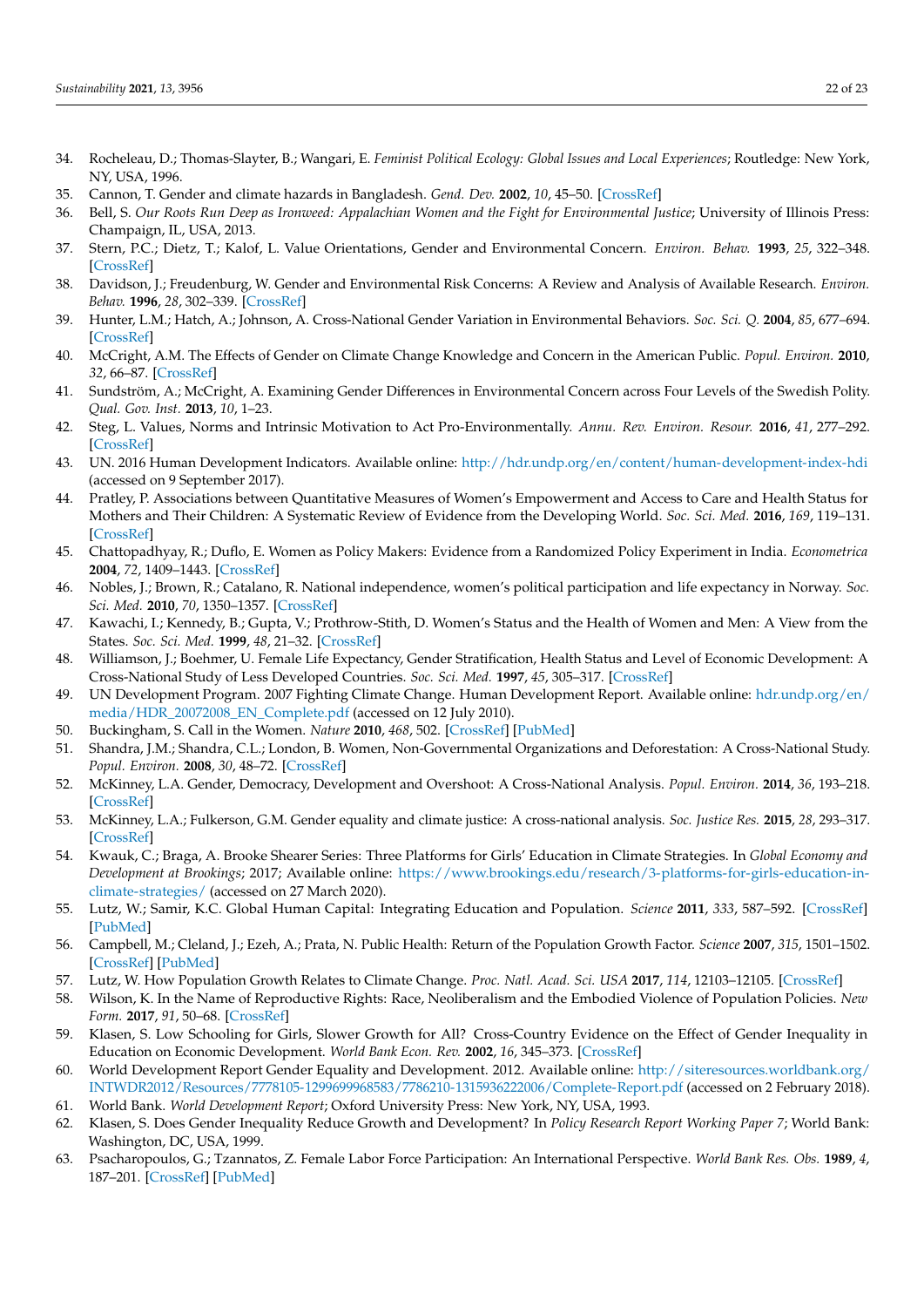- <span id="page-21-0"></span>34. Rocheleau, D.; Thomas-Slayter, B.; Wangari, E. *Feminist Political Ecology: Global Issues and Local Experiences*; Routledge: New York, NY, USA, 1996.
- <span id="page-21-1"></span>35. Cannon, T. Gender and climate hazards in Bangladesh. *Gend. Dev.* **2002**, *10*, 45–50. [\[CrossRef\]](http://doi.org/10.1080/13552070215906)
- <span id="page-21-2"></span>36. Bell, S. *Our Roots Run Deep as Ironweed: Appalachian Women and the Fight for Environmental Justice*; University of Illinois Press: Champaign, IL, USA, 2013.
- <span id="page-21-3"></span>37. Stern, P.C.; Dietz, T.; Kalof, L. Value Orientations, Gender and Environmental Concern. *Environ. Behav.* **1993**, *25*, 322–348. [\[CrossRef\]](http://doi.org/10.1177/0013916593255002)
- <span id="page-21-27"></span>38. Davidson, J.; Freudenburg, W. Gender and Environmental Risk Concerns: A Review and Analysis of Available Research. *Environ. Behav.* **1996**, *28*, 302–339. [\[CrossRef\]](http://doi.org/10.1177/0013916596283003)
- 39. Hunter, L.M.; Hatch, A.; Johnson, A. Cross-National Gender Variation in Environmental Behaviors. *Soc. Sci. Q.* **2004**, *85*, 677–694. [\[CrossRef\]](http://doi.org/10.1111/j.0038-4941.2004.00239.x)
- 40. McCright, A.M. The Effects of Gender on Climate Change Knowledge and Concern in the American Public. *Popul. Environ.* **2010**, *32*, 66–87. [\[CrossRef\]](http://doi.org/10.1007/s11111-010-0113-1)
- <span id="page-21-4"></span>41. Sundström, A.; McCright, A. Examining Gender Differences in Environmental Concern across Four Levels of the Swedish Polity. *Qual. Gov. Inst.* **2013**, *10*, 1–23.
- <span id="page-21-5"></span>42. Steg, L. Values, Norms and Intrinsic Motivation to Act Pro-Environmentally. *Annu. Rev. Environ. Resour.* **2016**, *41*, 277–292. [\[CrossRef\]](http://doi.org/10.1146/annurev-environ-110615-085947)
- <span id="page-21-6"></span>43. UN. 2016 Human Development Indicators. Available online: <http://hdr.undp.org/en/content/human-development-index-hdi> (accessed on 9 September 2017).
- <span id="page-21-7"></span>44. Pratley, P. Associations between Quantitative Measures of Women's Empowerment and Access to Care and Health Status for Mothers and Their Children: A Systematic Review of Evidence from the Developing World. *Soc. Sci. Med.* **2016**, *169*, 119–131. [\[CrossRef\]](http://doi.org/10.1016/j.socscimed.2016.08.001)
- <span id="page-21-8"></span>45. Chattopadhyay, R.; Duflo, E. Women as Policy Makers: Evidence from a Randomized Policy Experiment in India. *Econometrica* **2004**, *72*, 1409–1443. [\[CrossRef\]](http://doi.org/10.1111/j.1468-0262.2004.00539.x)
- <span id="page-21-9"></span>46. Nobles, J.; Brown, R.; Catalano, R. National independence, women's political participation and life expectancy in Norway. *Soc. Sci. Med.* **2010**, *70*, 1350–1357. [\[CrossRef\]](http://doi.org/10.1016/j.socscimed.2009.12.012)
- <span id="page-21-10"></span>47. Kawachi, I.; Kennedy, B.; Gupta, V.; Prothrow-Stith, D. Women's Status and the Health of Women and Men: A View from the States. *Soc. Sci. Med.* **1999**, *48*, 21–32. [\[CrossRef\]](http://doi.org/10.1016/S0277-9536(98)00286-X)
- <span id="page-21-11"></span>48. Williamson, J.; Boehmer, U. Female Life Expectancy, Gender Stratification, Health Status and Level of Economic Development: A Cross-National Study of Less Developed Countries. *Soc. Sci. Med.* **1997**, *45*, 305–317. [\[CrossRef\]](http://doi.org/10.1016/S0277-9536(96)00346-2)
- <span id="page-21-12"></span>49. UN Development Program. 2007 Fighting Climate Change. Human Development Report. Available online: [hdr.undp.org/en/](hdr.undp.org/en/media/HDR_20072008_EN_Complete.pdf) [media/HDR\\_20072008\\_EN\\_Complete.pdf](hdr.undp.org/en/media/HDR_20072008_EN_Complete.pdf) (accessed on 12 July 2010).
- <span id="page-21-13"></span>50. Buckingham, S. Call in the Women. *Nature* **2010**, *468*, 502. [\[CrossRef\]](http://doi.org/10.1038/468502a) [\[PubMed\]](http://www.ncbi.nlm.nih.gov/pubmed/21107405)
- <span id="page-21-14"></span>51. Shandra, J.M.; Shandra, C.L.; London, B. Women, Non-Governmental Organizations and Deforestation: A Cross-National Study. *Popul. Environ.* **2008**, *30*, 48–72. [\[CrossRef\]](http://doi.org/10.1007/s11111-008-0073-x)
- <span id="page-21-15"></span>52. McKinney, L.A. Gender, Democracy, Development and Overshoot: A Cross-National Analysis. *Popul. Environ.* **2014**, *36*, 193–218. [\[CrossRef\]](http://doi.org/10.1007/s11111-014-0217-0)
- <span id="page-21-16"></span>53. McKinney, L.A.; Fulkerson, G.M. Gender equality and climate justice: A cross-national analysis. *Soc. Justice Res.* **2015**, *28*, 293–317. [\[CrossRef\]](http://doi.org/10.1007/s11211-015-0241-y)
- <span id="page-21-17"></span>54. Kwauk, C.; Braga, A. Brooke Shearer Series: Three Platforms for Girls' Education in Climate Strategies. In *Global Economy and Development at Brookings*; 2017; Available online: [https://www.brookings.edu/research/3-platforms-for-girls-education-in](https://www.brookings.edu/research/3-platforms-for-girls-education-in-climate-strategies/)[climate-strategies/](https://www.brookings.edu/research/3-platforms-for-girls-education-in-climate-strategies/) (accessed on 27 March 2020).
- <span id="page-21-18"></span>55. Lutz, W.; Samir, K.C. Global Human Capital: Integrating Education and Population. *Science* **2011**, *333*, 587–592. [\[CrossRef\]](http://doi.org/10.1126/science.1206964) [\[PubMed\]](http://www.ncbi.nlm.nih.gov/pubmed/21798940)
- <span id="page-21-19"></span>56. Campbell, M.; Cleland, J.; Ezeh, A.; Prata, N. Public Health: Return of the Population Growth Factor. *Science* **2007**, *315*, 1501–1502. [\[CrossRef\]](http://doi.org/10.1126/science.1140057) [\[PubMed\]](http://www.ncbi.nlm.nih.gov/pubmed/17363647)
- <span id="page-21-20"></span>57. Lutz, W. How Population Growth Relates to Climate Change. *Proc. Natl. Acad. Sci. USA* **2017**, *114*, 12103–12105. [\[CrossRef\]](http://doi.org/10.1073/pnas.1717178114)
- <span id="page-21-21"></span>58. Wilson, K. In the Name of Reproductive Rights: Race, Neoliberalism and the Embodied Violence of Population Policies. *New Form.* **2017**, *91*, 50–68. [\[CrossRef\]](http://doi.org/10.3898/NEWF:91.03.2017)
- <span id="page-21-22"></span>59. Klasen, S. Low Schooling for Girls, Slower Growth for All? Cross-Country Evidence on the Effect of Gender Inequality in Education on Economic Development. *World Bank Econ. Rev.* **2002**, *16*, 345–373. [\[CrossRef\]](http://doi.org/10.1093/wber/lhf004)
- <span id="page-21-23"></span>60. World Development Report Gender Equality and Development. 2012. Available online: [http://siteresources.worldbank.org/](http://siteresources.worldbank.org/INTWDR2012/Resources/7778105-1299699968583/7786210-1315936222006/Complete-Report.pdf) [INTWDR2012/Resources/7778105-1299699968583/7786210-1315936222006/Complete-Report.pdf](http://siteresources.worldbank.org/INTWDR2012/Resources/7778105-1299699968583/7786210-1315936222006/Complete-Report.pdf) (accessed on 2 February 2018). 61. World Bank. *World Development Report*; Oxford University Press: New York, NY, USA, 1993.
- <span id="page-21-25"></span><span id="page-21-24"></span>62. Klasen, S. Does Gender Inequality Reduce Growth and Development? In *Policy Research Report Working Paper 7*; World Bank: Washington, DC, USA, 1999.
- <span id="page-21-26"></span>63. Psacharopoulos, G.; Tzannatos, Z. Female Labor Force Participation: An International Perspective. *World Bank Res. Obs.* **1989**, *4*, 187–201. [\[CrossRef\]](http://doi.org/10.1093/wbro/4.2.187) [\[PubMed\]](http://www.ncbi.nlm.nih.gov/pubmed/12283641)